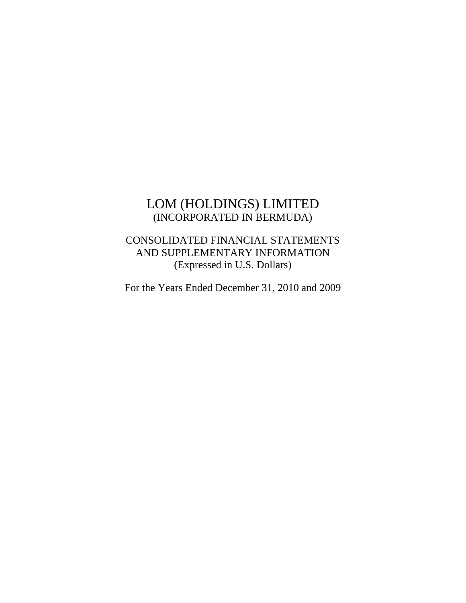# LOM (HOLDINGS) LIMITED (INCORPORATED IN BERMUDA)

# CONSOLIDATED FINANCIAL STATEMENTS AND SUPPLEMENTARY INFORMATION (Expressed in U.S. Dollars)

For the Years Ended December 31, 2010 and 2009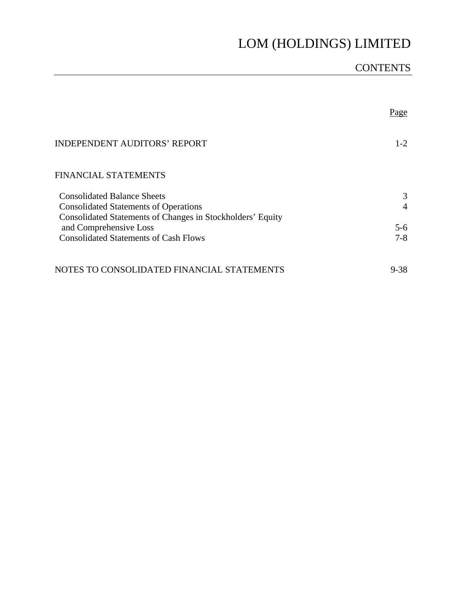# **CONTENTS**

|                                                            | Page           |
|------------------------------------------------------------|----------------|
| <b>INDEPENDENT AUDITORS' REPORT</b>                        | $1-2$          |
| <b>FINANCIAL STATEMENTS</b>                                |                |
| <b>Consolidated Balance Sheets</b>                         | 3              |
| <b>Consolidated Statements of Operations</b>               | $\overline{A}$ |
| Consolidated Statements of Changes in Stockholders' Equity |                |
| and Comprehensive Loss                                     | $5-6$          |
| <b>Consolidated Statements of Cash Flows</b>               | 7-8            |
| NOTES TO CONSOLIDATED FINANCIAL STATEMENTS                 | $9 - 38$       |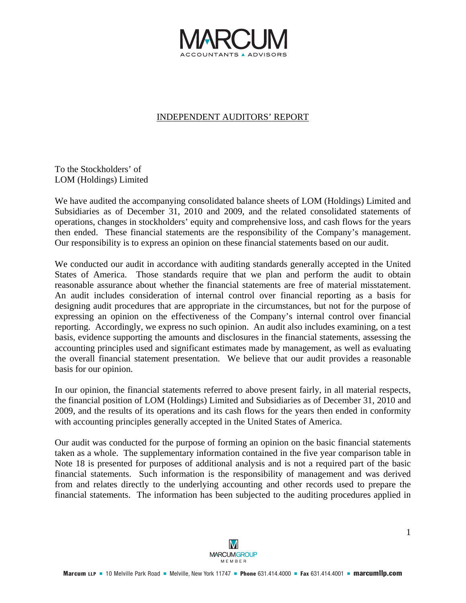

## INDEPENDENT AUDITORS' REPORT

To the Stockholders' of LOM (Holdings) Limited

We have audited the accompanying consolidated balance sheets of LOM (Holdings) Limited and Subsidiaries as of December 31, 2010 and 2009, and the related consolidated statements of operations, changes in stockholders' equity and comprehensive loss, and cash flows for the years then ended. These financial statements are the responsibility of the Company's management. Our responsibility is to express an opinion on these financial statements based on our audit.

We conducted our audit in accordance with auditing standards generally accepted in the United States of America. Those standards require that we plan and perform the audit to obtain reasonable assurance about whether the financial statements are free of material misstatement. An audit includes consideration of internal control over financial reporting as a basis for designing audit procedures that are appropriate in the circumstances, but not for the purpose of expressing an opinion on the effectiveness of the Company's internal control over financial reporting. Accordingly, we express no such opinion. An audit also includes examining, on a test basis, evidence supporting the amounts and disclosures in the financial statements, assessing the accounting principles used and significant estimates made by management, as well as evaluating the overall financial statement presentation. We believe that our audit provides a reasonable basis for our opinion.

In our opinion, the financial statements referred to above present fairly, in all material respects, the financial position of LOM (Holdings) Limited and Subsidiaries as of December 31, 2010 and 2009, and the results of its operations and its cash flows for the years then ended in conformity with accounting principles generally accepted in the United States of America.

Our audit was conducted for the purpose of forming an opinion on the basic financial statements taken as a whole. The supplementary information contained in the five year comparison table in Note 18 is presented for purposes of additional analysis and is not a required part of the basic financial statements. Such information is the responsibility of management and was derived from and relates directly to the underlying accounting and other records used to prepare the financial statements. The information has been subjected to the auditing procedures applied in

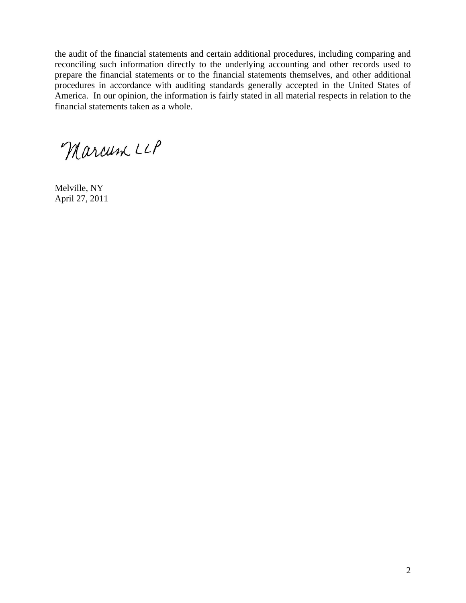the audit of the financial statements and certain additional procedures, including comparing and reconciling such information directly to the underlying accounting and other records used to prepare the financial statements or to the financial statements themselves, and other additional procedures in accordance with auditing standards generally accepted in the United States of America. In our opinion, the information is fairly stated in all material respects in relation to the financial statements taken as a whole.

Marcum LLP

Melville, NY April 27, 2011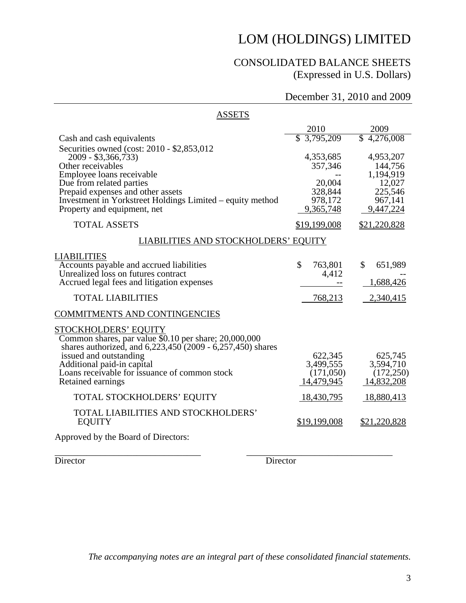# CONSOLIDATED BALANCE SHEETS (Expressed in U.S. Dollars)

December 31, 2010 and 2009

| <b>ASSETS</b>                                                                                                                               |                                      |                                       |
|---------------------------------------------------------------------------------------------------------------------------------------------|--------------------------------------|---------------------------------------|
|                                                                                                                                             | $\frac{2010}{\$ 3,795,209}$          | $\frac{2009}{$4,276,008}$             |
| Cash and cash equivalents                                                                                                                   |                                      |                                       |
| Securities owned (cost: 2010 - \$2,853,012<br>2009 - \$3,366,733)<br>Other receivables                                                      | 4,353,685<br>357,346                 | 4,953,207<br>144,756                  |
| Employee loans receivable<br>Due from related parties<br>Prepaid expenses and other assets                                                  | 20,004<br>328,844                    | 1,194,919<br>12,027<br>225,546        |
| Investment in Yorkstreet Holdings Limited – equity method<br>Property and equipment, net                                                    | 978,172<br>9,365,748                 | 967,141<br>9,447,224                  |
| <b>TOTAL ASSETS</b>                                                                                                                         | \$19,199,008                         | \$21,220,828                          |
| LIABILITIES AND STOCKHOLDERS' EQUITY                                                                                                        |                                      |                                       |
| <b>LIABILITIES</b><br>Accounts payable and accrued liabilities<br>Unrealized loss on futures contract                                       | \$<br>763,801<br>4,412               | \$<br>651,989                         |
| Accrued legal fees and litigation expenses                                                                                                  |                                      | 1,688,426                             |
| <b>TOTAL LIABILITIES</b>                                                                                                                    | 768,213                              | 2,340,415                             |
| <b>COMMITMENTS AND CONTINGENCIES</b>                                                                                                        |                                      |                                       |
| STOCKHOLDERS' EQUITY<br>Common shares, par value \$0.10 per share; 20,000,000<br>shares authorized, and 6,223,450 (2009 - 6,257,450) shares |                                      |                                       |
| issued and outstanding                                                                                                                      | 622,345                              | 625,745                               |
| Additional paid-in capital<br>Loans receivable for issuance of common stock<br>Retained earnings                                            | 3,499,555<br>(171,050)<br>14,479,945 | 3,594,710<br>(172, 250)<br>14,832,208 |
| TOTAL STOCKHOLDERS' EQUITY                                                                                                                  | 18,430,795                           | 18,880,413                            |
| TOTAL LIABILITIES AND STOCKHOLDERS'<br><b>EQUITY</b>                                                                                        | \$19,199,008                         | \$21,220,828                          |
| Approved by the Board of Directors:                                                                                                         |                                      |                                       |
|                                                                                                                                             |                                      |                                       |

Director Director Director

*The accompanying notes are an integral part of these consolidated financial statements.*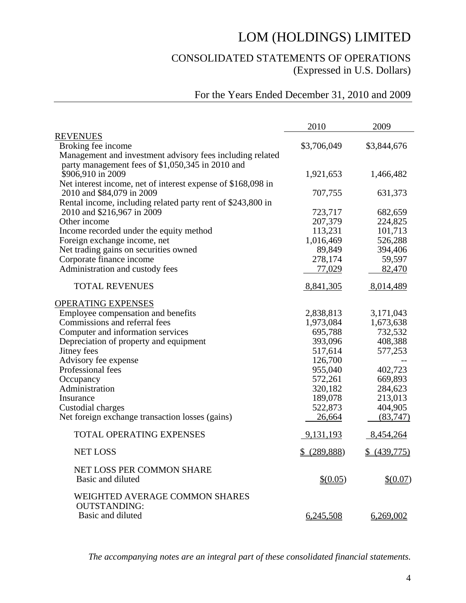# CONSOLIDATED STATEMENTS OF OPERATIONS (Expressed in U.S. Dollars)

# For the Years Ended December 31, 2010 and 2009

|                                                              | 2010          | 2009         |
|--------------------------------------------------------------|---------------|--------------|
| REVENUES                                                     |               |              |
| Broking fee income                                           | \$3,706,049   | \$3,844,676  |
| Management and investment advisory fees including related    |               |              |
| party management fees of \$1,050,345 in 2010 and             |               |              |
| \$906,910 in 2009                                            | 1,921,653     | 1,466,482    |
| Net interest income, net of interest expense of \$168,098 in |               |              |
| 2010 and \$84,079 in 2009                                    | 707,755       | 631,373      |
| Rental income, including related party rent of \$243,800 in  |               |              |
| 2010 and \$216,967 in 2009                                   | 723,717       | 682,659      |
| Other income                                                 | 207,379       | 224,825      |
| Income recorded under the equity method                      | 113,231       | 101,713      |
| Foreign exchange income, net                                 | 1,016,469     | 526,288      |
| Net trading gains on securities owned                        | 89,849        | 394,406      |
| Corporate finance income                                     | 278,174       | 59,597       |
| Administration and custody fees                              | 77,029        | 82,470       |
| <b>TOTAL REVENUES</b>                                        | 8,841,305     | 8,014,489    |
| <b>OPERATING EXPENSES</b>                                    |               |              |
| Employee compensation and benefits                           | 2,838,813     | 3,171,043    |
| Commissions and referral fees                                | 1,973,084     | 1,673,638    |
| Computer and information services                            | 695,788       | 732,532      |
| Depreciation of property and equipment                       | 393,096       | 408,388      |
| Jitney fees                                                  | 517,614       | 577,253      |
| Advisory fee expense                                         | 126,700       |              |
| Professional fees                                            | 955,040       | 402,723      |
| Occupancy                                                    | 572,261       | 669,893      |
| Administration                                               | 320,182       | 284,623      |
| Insurance                                                    | 189,078       | 213,013      |
| Custodial charges                                            | 522,873       | 404,905      |
| Net foreign exchange transaction losses (gains)              | 26,664        | (83,747)     |
| TOTAL OPERATING EXPENSES                                     | 9,131,193     | 8,454,264    |
| <b>NET LOSS</b>                                              | \$ (289, 888) | \$ (439,775) |
| NET LOSS PER COMMON SHARE                                    |               |              |
| Basic and diluted                                            | $$$ (0.05)    | \$(0.07)     |
|                                                              |               |              |
| <b>WEIGHTED AVERAGE COMMON SHARES</b><br><b>OUTSTANDING:</b> |               |              |
|                                                              | 6,245,508     |              |
| Basic and diluted                                            |               | 6,269,002    |

*The accompanying notes are an integral part of these consolidated financial statements.*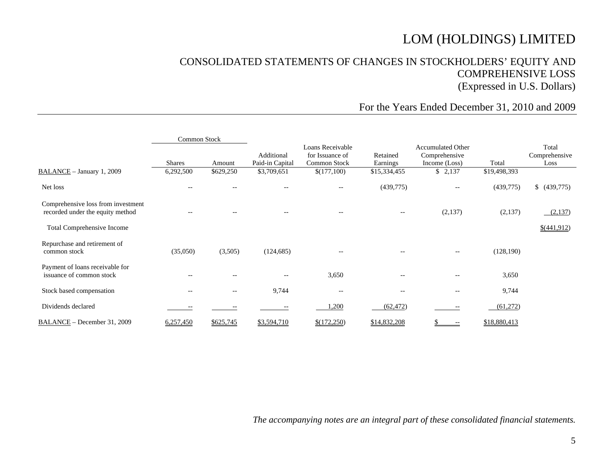# CONSOLIDATED STATEMENTS OF CHANGES IN STOCKHOLDERS' EQUITY AND COMPREHENSIVE LOSS (Expressed in U.S. Dollars)

# For the Years Ended December 31, 2010 and 2009

|                                                                        | Common Stock  |           |                               |                                                     |                      |                                                                                                   |              |                                |
|------------------------------------------------------------------------|---------------|-----------|-------------------------------|-----------------------------------------------------|----------------------|---------------------------------------------------------------------------------------------------|--------------|--------------------------------|
|                                                                        | <b>Shares</b> | Amount    | Additional<br>Paid-in Capital | Loans Receivable<br>for Issuance of<br>Common Stock | Retained<br>Earnings | <b>Accumulated Other</b><br>Comprehensive<br>Income (Loss)                                        | Total        | Total<br>Comprehensive<br>Loss |
| BALANCE - January 1, 2009                                              | 6,292,500     | \$629,250 | \$3,709,651                   | \$(177,100)                                         | \$15,334,455         | \$2,137                                                                                           | \$19,498,393 |                                |
| Net loss                                                               |               |           |                               |                                                     | (439,775)            | $\overline{\phantom{m}}$                                                                          | (439,775)    | (439,775)                      |
| Comprehensive loss from investment<br>recorded under the equity method |               |           | $-$                           |                                                     | $- -$                | (2,137)                                                                                           | (2,137)      | (2,137)                        |
| Total Comprehensive Income                                             |               |           |                               |                                                     |                      |                                                                                                   |              | \$(441,912)                    |
| Repurchase and retirement of<br>common stock                           | (35,050)      | (3,505)   | (124, 685)                    |                                                     |                      | --                                                                                                | (128, 190)   |                                |
| Payment of loans receivable for<br>issuance of common stock            |               |           | $-\,-$                        | 3,650                                               |                      | $- -$                                                                                             | 3,650        |                                |
| Stock based compensation                                               |               | $-\,-$    | 9,744                         | $\overline{\phantom{m}}$                            |                      | --                                                                                                | 9,744        |                                |
| Dividends declared                                                     |               |           |                               | 1,200                                               | (62, 472)            | $\hspace{0.05cm} \hspace{0.02cm} \hspace{0.02cm} \hspace{0.02cm} \hspace{0.02cm} \hspace{0.02cm}$ | (61,272)     |                                |
| BALANCE – December 31, 2009                                            | 6,257,450     | \$625,745 | \$3,594,710                   | \$(172,250)                                         | \$14,832,208         | $- -$                                                                                             | \$18,880,413 |                                |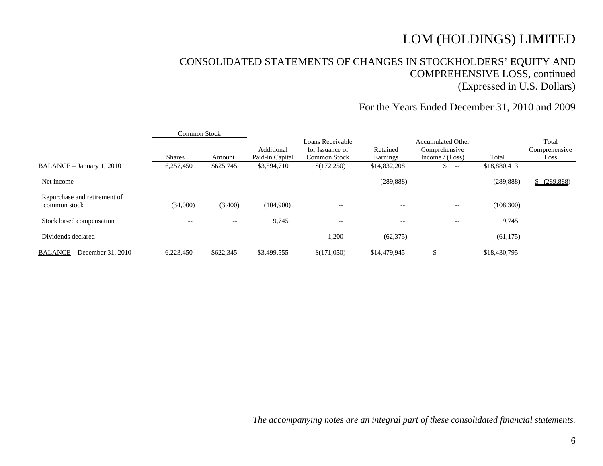# CONSOLIDATED STATEMENTS OF CHANGES IN STOCKHOLDERS' EQUITY AND COMPREHENSIVE LOSS, continued (Expressed in U.S. Dollars)

# For the Years Ended December 31, 2010 and 2009

|                                              | <b>Common Stock</b> |                          |                               |                                                            |                      |                                                                |              |                                |
|----------------------------------------------|---------------------|--------------------------|-------------------------------|------------------------------------------------------------|----------------------|----------------------------------------------------------------|--------------|--------------------------------|
|                                              | <b>Shares</b>       | Amount                   | Additional<br>Paid-in Capital | Loans Receivable<br>for Issuance of<br><b>Common Stock</b> | Retained<br>Earnings | <b>Accumulated Other</b><br>Comprehensive<br>Income / $(Loss)$ | Total        | Total<br>Comprehensive<br>Loss |
| <b>BALANCE</b> - January 1, 2010             | 6,257,450           | \$625,745                | \$3,594,710                   | \$(172,250)                                                | \$14,832,208         | $\overline{\phantom{a}}$                                       | \$18,880,413 |                                |
| Net income                                   |                     |                          |                               |                                                            | (289, 888)           | $\overline{\phantom{m}}$                                       | (289, 888)   | $$^{(289,888)}$                |
| Repurchase and retirement of<br>common stock | (34,000)            | (3,400)                  | (104,900)                     | $\overline{\phantom{m}}$                                   | $- -$                | $- -$                                                          | (108, 300)   |                                |
| Stock based compensation                     | $- -$               | $\overline{\phantom{m}}$ | 9,745                         | $\overline{\phantom{m}}$                                   | $- -$                | $\overline{\phantom{m}}$                                       | 9,745        |                                |
| Dividends declared                           |                     |                          |                               | 1,200                                                      | (62, 375)            | $- -$                                                          | (61, 175)    |                                |
| BALANCE - December 31, 2010                  | 6,223,450           | \$622,345                | \$3,499,555                   | \$(171,050)                                                | \$14,479,945         | $- -$                                                          | \$18,430,795 |                                |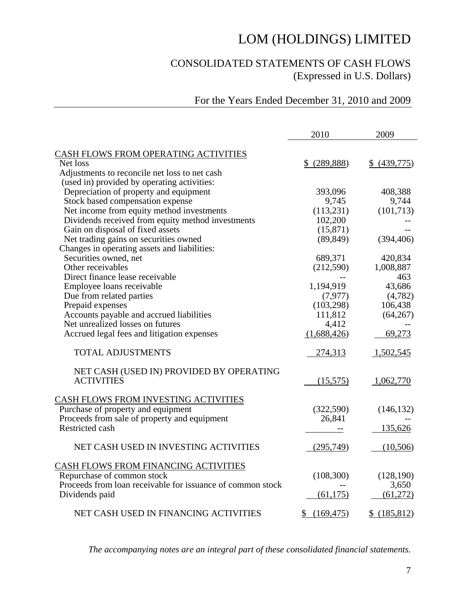# CONSOLIDATED STATEMENTS OF CASH FLOWS (Expressed in U.S. Dollars)

# For the Years Ended December 31, 2010 and 2009

|                                                                            | 2010          | 2009          |
|----------------------------------------------------------------------------|---------------|---------------|
| CASH FLOWS FROM OPERATING ACTIVITIES                                       |               |               |
| Net loss                                                                   | \$ (289, 888) | \$ (439,775)  |
| Adjustments to reconcile net loss to net cash                              |               |               |
| (used in) provided by operating activities:                                |               |               |
| Depreciation of property and equipment                                     | 393,096       | 408,388       |
| Stock based compensation expense                                           | 9,745         | 9,744         |
| Net income from equity method investments                                  | (113, 231)    | (101, 713)    |
| Dividends received from equity method investments                          | 102,200       |               |
| Gain on disposal of fixed assets                                           | (15, 871)     |               |
| Net trading gains on securities owned                                      | (89, 849)     | (394, 406)    |
| Changes in operating assets and liabilities:                               |               |               |
| Securities owned, net                                                      | 689,371       | 420,834       |
| Other receivables                                                          | (212,590)     | 1,008,887     |
| Direct finance lease receivable                                            |               | 463           |
| Employee loans receivable                                                  | 1,194,919     | 43,686        |
| Due from related parties                                                   | (7, 977)      | (4,782)       |
| Prepaid expenses                                                           | (103, 298)    | 106,438       |
| Accounts payable and accrued liabilities                                   | 111,812       | (64, 267)     |
| Net unrealized losses on futures                                           | 4,412         |               |
| Accrued legal fees and litigation expenses                                 | (1,688,426)   | 69,273        |
| <b>TOTAL ADJUSTMENTS</b>                                                   | 274,313       | 1,502,545     |
| NET CASH (USED IN) PROVIDED BY OPERATING                                   |               |               |
| <b>ACTIVITIES</b>                                                          | (15,575)      | 1,062,770     |
|                                                                            |               |               |
| CASH FLOWS FROM INVESTING ACTIVITIES<br>Purchase of property and equipment | (322,590)     | (146, 132)    |
| Proceeds from sale of property and equipment                               | 26,841        |               |
| Restricted cash                                                            |               | 135,626       |
|                                                                            |               |               |
| NET CASH USED IN INVESTING ACTIVITIES                                      | (295,749)     | (10,506)      |
| <u>CASH FLOWS FROM FINANCING ACTIVITIES</u>                                |               |               |
| Repurchase of common stock                                                 | (108, 300)    | (128, 190)    |
| Proceeds from loan receivable for issuance of common stock                 |               | 3,650         |
| Dividends paid                                                             | (61, 175)     | (61,272)      |
|                                                                            |               |               |
| NET CASH USED IN FINANCING ACTIVITIES                                      | \$(169, 475)  | \$ (185, 812) |

*The accompanying notes are an integral part of these consolidated financial statements.*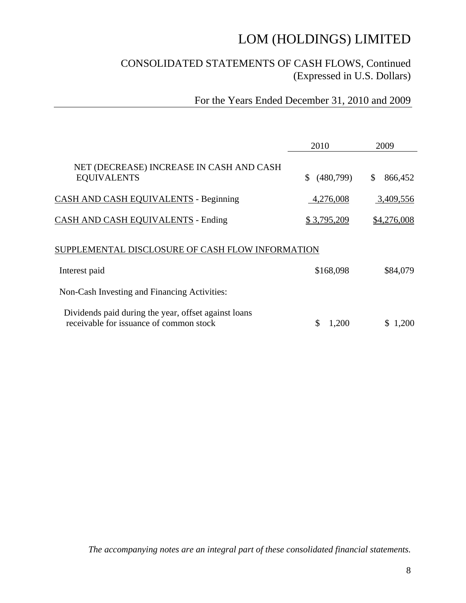# CONSOLIDATED STATEMENTS OF CASH FLOWS, Continued (Expressed in U.S. Dollars)

For the Years Ended December 31, 2010 and 2009

|                                                                                                                                                 | 2010            | 2009               |
|-------------------------------------------------------------------------------------------------------------------------------------------------|-----------------|--------------------|
| NET (DECREASE) INCREASE IN CASH AND CASH<br><b>EQUIVALENTS</b>                                                                                  | \$<br>(480,799) | \$<br>866,452      |
| CASH AND CASH EQUIVALENTS - Beginning                                                                                                           | 4,276,008       | 3,409,556          |
| CASH AND CASH EQUIVALENTS - Ending                                                                                                              | \$3,795,209     | <u>\$4,276,008</u> |
| SUPPLEMENTAL DISCLOSURE OF CASH FLOW INFORMATION<br>Interest paid                                                                               | \$168,098       | \$84,079           |
| Non-Cash Investing and Financing Activities:<br>Dividends paid during the year, offset against loans<br>receivable for issuance of common stock | S<br>1,200      | 1.200              |

*The accompanying notes are an integral part of these consolidated financial statements.*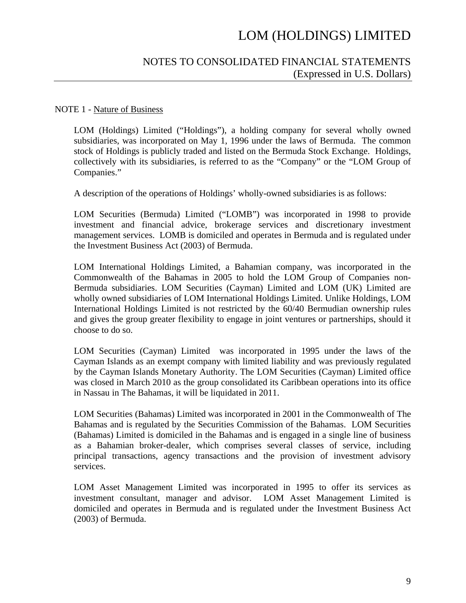# NOTES TO CONSOLIDATED FINANCIAL STATEMENTS (Expressed in U.S. Dollars)

## NOTE 1 - Nature of Business

LOM (Holdings) Limited ("Holdings"), a holding company for several wholly owned subsidiaries, was incorporated on May 1, 1996 under the laws of Bermuda. The common stock of Holdings is publicly traded and listed on the Bermuda Stock Exchange. Holdings, collectively with its subsidiaries, is referred to as the "Company" or the "LOM Group of Companies."

A description of the operations of Holdings' wholly-owned subsidiaries is as follows:

LOM Securities (Bermuda) Limited ("LOMB") was incorporated in 1998 to provide investment and financial advice, brokerage services and discretionary investment management services. LOMB is domiciled and operates in Bermuda and is regulated under the Investment Business Act (2003) of Bermuda.

LOM International Holdings Limited, a Bahamian company, was incorporated in the Commonwealth of the Bahamas in 2005 to hold the LOM Group of Companies non-Bermuda subsidiaries. LOM Securities (Cayman) Limited and LOM (UK) Limited are wholly owned subsidiaries of LOM International Holdings Limited. Unlike Holdings, LOM International Holdings Limited is not restricted by the 60/40 Bermudian ownership rules and gives the group greater flexibility to engage in joint ventures or partnerships, should it choose to do so.

LOM Securities (Cayman) Limited was incorporated in 1995 under the laws of the Cayman Islands as an exempt company with limited liability and was previously regulated by the Cayman Islands Monetary Authority. The LOM Securities (Cayman) Limited office was closed in March 2010 as the group consolidated its Caribbean operations into its office in Nassau in The Bahamas, it will be liquidated in 2011.

LOM Securities (Bahamas) Limited was incorporated in 2001 in the Commonwealth of The Bahamas and is regulated by the Securities Commission of the Bahamas. LOM Securities (Bahamas) Limited is domiciled in the Bahamas and is engaged in a single line of business as a Bahamian broker-dealer, which comprises several classes of service, including principal transactions, agency transactions and the provision of investment advisory services.

LOM Asset Management Limited was incorporated in 1995 to offer its services as investment consultant, manager and advisor. LOM Asset Management Limited is domiciled and operates in Bermuda and is regulated under the Investment Business Act (2003) of Bermuda.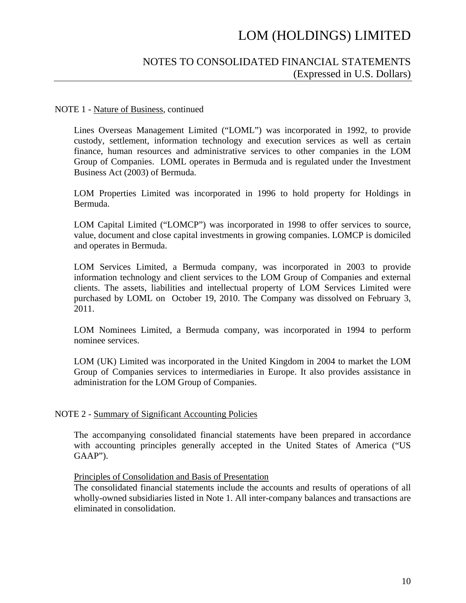# NOTES TO CONSOLIDATED FINANCIAL STATEMENTS (Expressed in U.S. Dollars)

### NOTE 1 - Nature of Business, continued

Lines Overseas Management Limited ("LOML") was incorporated in 1992, to provide custody, settlement, information technology and execution services as well as certain finance, human resources and administrative services to other companies in the LOM Group of Companies. LOML operates in Bermuda and is regulated under the Investment Business Act (2003) of Bermuda.

LOM Properties Limited was incorporated in 1996 to hold property for Holdings in Bermuda.

LOM Capital Limited ("LOMCP") was incorporated in 1998 to offer services to source, value, document and close capital investments in growing companies. LOMCP is domiciled and operates in Bermuda.

LOM Services Limited, a Bermuda company, was incorporated in 2003 to provide information technology and client services to the LOM Group of Companies and external clients. The assets, liabilities and intellectual property of LOM Services Limited were purchased by LOML on October 19, 2010. The Company was dissolved on February 3, 2011.

LOM Nominees Limited, a Bermuda company, was incorporated in 1994 to perform nominee services.

LOM (UK) Limited was incorporated in the United Kingdom in 2004 to market the LOM Group of Companies services to intermediaries in Europe. It also provides assistance in administration for the LOM Group of Companies.

### NOTE 2 - Summary of Significant Accounting Policies

The accompanying consolidated financial statements have been prepared in accordance with accounting principles generally accepted in the United States of America ("US GAAP").

## Principles of Consolidation and Basis of Presentation

The consolidated financial statements include the accounts and results of operations of all wholly-owned subsidiaries listed in Note 1. All inter-company balances and transactions are eliminated in consolidation.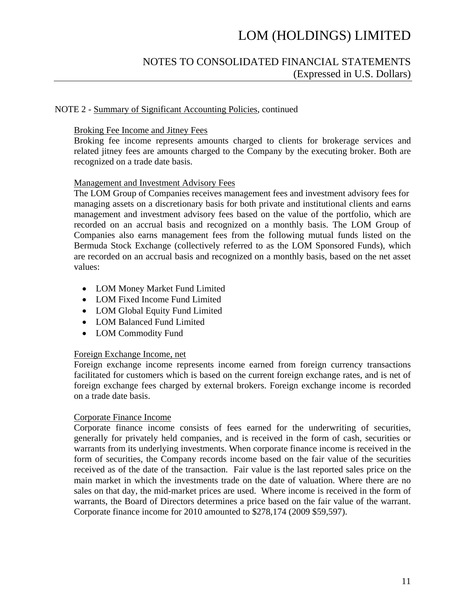# NOTES TO CONSOLIDATED FINANCIAL STATEMENTS (Expressed in U.S. Dollars)

## NOTE 2 - Summary of Significant Accounting Policies, continued

### Broking Fee Income and Jitney Fees

Broking fee income represents amounts charged to clients for brokerage services and related jitney fees are amounts charged to the Company by the executing broker. Both are recognized on a trade date basis.

#### Management and Investment Advisory Fees

The LOM Group of Companies receives management fees and investment advisory fees for managing assets on a discretionary basis for both private and institutional clients and earns management and investment advisory fees based on the value of the portfolio, which are recorded on an accrual basis and recognized on a monthly basis. The LOM Group of Companies also earns management fees from the following mutual funds listed on the Bermuda Stock Exchange (collectively referred to as the LOM Sponsored Funds), which are recorded on an accrual basis and recognized on a monthly basis, based on the net asset values:

- LOM Money Market Fund Limited
- LOM Fixed Income Fund Limited
- LOM Global Equity Fund Limited
- LOM Balanced Fund Limited
- LOM Commodity Fund

#### Foreign Exchange Income, net

Foreign exchange income represents income earned from foreign currency transactions facilitated for customers which is based on the current foreign exchange rates, and is net of foreign exchange fees charged by external brokers. Foreign exchange income is recorded on a trade date basis.

#### Corporate Finance Income

Corporate finance income consists of fees earned for the underwriting of securities, generally for privately held companies, and is received in the form of cash, securities or warrants from its underlying investments. When corporate finance income is received in the form of securities, the Company records income based on the fair value of the securities received as of the date of the transaction. Fair value is the last reported sales price on the main market in which the investments trade on the date of valuation. Where there are no sales on that day, the mid-market prices are used. Where income is received in the form of warrants, the Board of Directors determines a price based on the fair value of the warrant. Corporate finance income for 2010 amounted to \$278,174 (2009 \$59,597).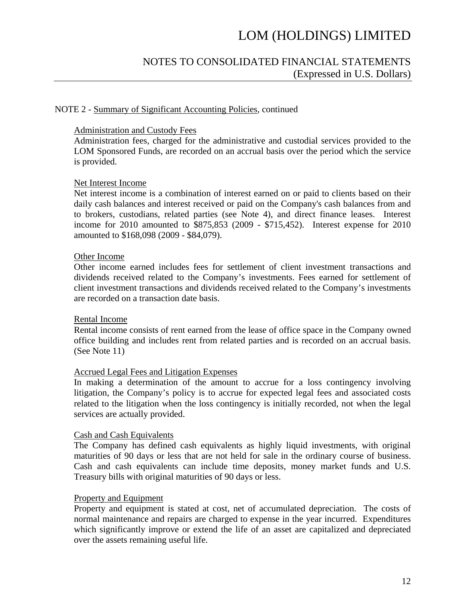# NOTES TO CONSOLIDATED FINANCIAL STATEMENTS (Expressed in U.S. Dollars)

## NOTE 2 - Summary of Significant Accounting Policies, continued

### Administration and Custody Fees

Administration fees, charged for the administrative and custodial services provided to the LOM Sponsored Funds, are recorded on an accrual basis over the period which the service is provided.

#### Net Interest Income

Net interest income is a combination of interest earned on or paid to clients based on their daily cash balances and interest received or paid on the Company's cash balances from and to brokers, custodians, related parties (see Note 4), and direct finance leases. Interest income for 2010 amounted to \$875,853 (2009 - \$715,452). Interest expense for 2010 amounted to \$168,098 (2009 - \$84,079).

#### Other Income

Other income earned includes fees for settlement of client investment transactions and dividends received related to the Company's investments. Fees earned for settlement of client investment transactions and dividends received related to the Company's investments are recorded on a transaction date basis.

#### Rental Income

Rental income consists of rent earned from the lease of office space in the Company owned office building and includes rent from related parties and is recorded on an accrual basis. (See Note 11)

#### Accrued Legal Fees and Litigation Expenses

In making a determination of the amount to accrue for a loss contingency involving litigation, the Company's policy is to accrue for expected legal fees and associated costs related to the litigation when the loss contingency is initially recorded, not when the legal services are actually provided.

#### Cash and Cash Equivalents

The Company has defined cash equivalents as highly liquid investments, with original maturities of 90 days or less that are not held for sale in the ordinary course of business. Cash and cash equivalents can include time deposits, money market funds and U.S. Treasury bills with original maturities of 90 days or less.

### Property and Equipment

Property and equipment is stated at cost, net of accumulated depreciation. The costs of normal maintenance and repairs are charged to expense in the year incurred. Expenditures which significantly improve or extend the life of an asset are capitalized and depreciated over the assets remaining useful life.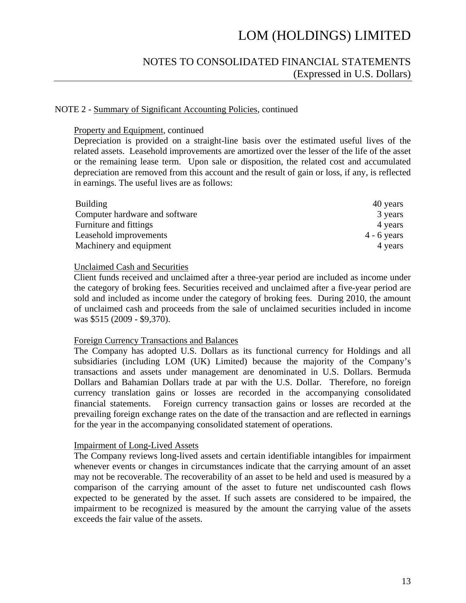# NOTES TO CONSOLIDATED FINANCIAL STATEMENTS (Expressed in U.S. Dollars)

## NOTE 2 - Summary of Significant Accounting Policies, continued

### Property and Equipment, continued

Depreciation is provided on a straight-line basis over the estimated useful lives of the related assets. Leasehold improvements are amortized over the lesser of the life of the asset or the remaining lease term. Upon sale or disposition, the related cost and accumulated depreciation are removed from this account and the result of gain or loss, if any, is reflected in earnings. The useful lives are as follows:

| <b>Building</b>                | 40 years      |
|--------------------------------|---------------|
| Computer hardware and software | 3 years       |
| Furniture and fittings         | 4 years       |
| Leasehold improvements         | $4 - 6$ years |
| Machinery and equipment        | 4 years       |

## Unclaimed Cash and Securities

Client funds received and unclaimed after a three-year period are included as income under the category of broking fees. Securities received and unclaimed after a five-year period are sold and included as income under the category of broking fees. During 2010, the amount of unclaimed cash and proceeds from the sale of unclaimed securities included in income was \$515 (2009 - \$9,370).

### Foreign Currency Transactions and Balances

The Company has adopted U.S. Dollars as its functional currency for Holdings and all subsidiaries (including LOM (UK) Limited) because the majority of the Company's transactions and assets under management are denominated in U.S. Dollars. Bermuda Dollars and Bahamian Dollars trade at par with the U.S. Dollar. Therefore, no foreign currency translation gains or losses are recorded in the accompanying consolidated financial statements. Foreign currency transaction gains or losses are recorded at the prevailing foreign exchange rates on the date of the transaction and are reflected in earnings for the year in the accompanying consolidated statement of operations.

## Impairment of Long-Lived Assets

The Company reviews long-lived assets and certain identifiable intangibles for impairment whenever events or changes in circumstances indicate that the carrying amount of an asset may not be recoverable. The recoverability of an asset to be held and used is measured by a comparison of the carrying amount of the asset to future net undiscounted cash flows expected to be generated by the asset. If such assets are considered to be impaired, the impairment to be recognized is measured by the amount the carrying value of the assets exceeds the fair value of the assets.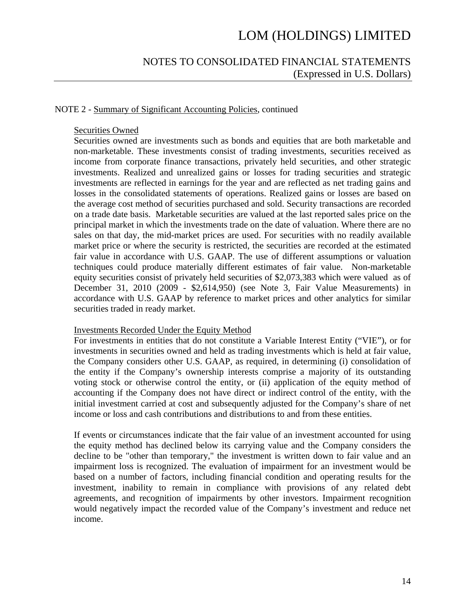# NOTES TO CONSOLIDATED FINANCIAL STATEMENTS (Expressed in U.S. Dollars)

## NOTE 2 - Summary of Significant Accounting Policies, continued

### Securities Owned

Securities owned are investments such as bonds and equities that are both marketable and non-marketable. These investments consist of trading investments, securities received as income from corporate finance transactions, privately held securities, and other strategic investments. Realized and unrealized gains or losses for trading securities and strategic investments are reflected in earnings for the year and are reflected as net trading gains and losses in the consolidated statements of operations. Realized gains or losses are based on the average cost method of securities purchased and sold. Security transactions are recorded on a trade date basis. Marketable securities are valued at the last reported sales price on the principal market in which the investments trade on the date of valuation. Where there are no sales on that day, the mid-market prices are used. For securities with no readily available market price or where the security is restricted, the securities are recorded at the estimated fair value in accordance with U.S. GAAP. The use of different assumptions or valuation techniques could produce materially different estimates of fair value. Non-marketable equity securities consist of privately held securities of \$2,073,383 which were valued as of December 31, 2010 (2009 - \$2,614,950) (see Note 3, Fair Value Measurements) in accordance with U.S. GAAP by reference to market prices and other analytics for similar securities traded in ready market.

#### Investments Recorded Under the Equity Method

For investments in entities that do not constitute a Variable Interest Entity ("VIE"), or for investments in securities owned and held as trading investments which is held at fair value, the Company considers other U.S. GAAP, as required, in determining (i) consolidation of the entity if the Company's ownership interests comprise a majority of its outstanding voting stock or otherwise control the entity, or (ii) application of the equity method of accounting if the Company does not have direct or indirect control of the entity, with the initial investment carried at cost and subsequently adjusted for the Company's share of net income or loss and cash contributions and distributions to and from these entities.

If events or circumstances indicate that the fair value of an investment accounted for using the equity method has declined below its carrying value and the Company considers the decline to be "other than temporary," the investment is written down to fair value and an impairment loss is recognized. The evaluation of impairment for an investment would be based on a number of factors, including financial condition and operating results for the investment, inability to remain in compliance with provisions of any related debt agreements, and recognition of impairments by other investors. Impairment recognition would negatively impact the recorded value of the Company's investment and reduce net income.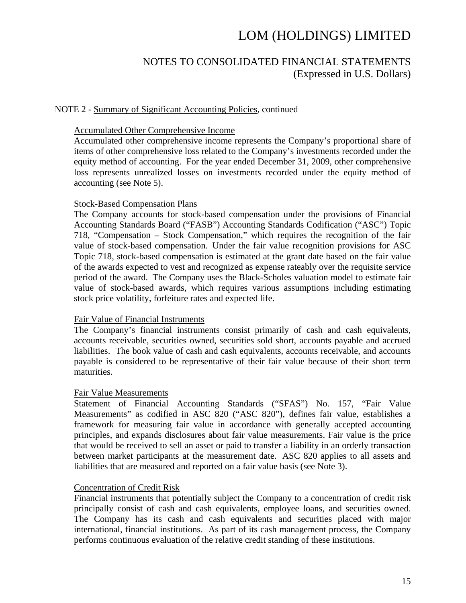# NOTES TO CONSOLIDATED FINANCIAL STATEMENTS (Expressed in U.S. Dollars)

## NOTE 2 - Summary of Significant Accounting Policies, continued

#### Accumulated Other Comprehensive Income

Accumulated other comprehensive income represents the Company's proportional share of items of other comprehensive loss related to the Company's investments recorded under the equity method of accounting. For the year ended December 31, 2009, other comprehensive loss represents unrealized losses on investments recorded under the equity method of accounting (see Note 5).

### Stock-Based Compensation Plans

The Company accounts for stock-based compensation under the provisions of Financial Accounting Standards Board ("FASB") Accounting Standards Codification ("ASC") Topic 718, "Compensation – Stock Compensation," which requires the recognition of the fair value of stock-based compensation. Under the fair value recognition provisions for ASC Topic 718, stock-based compensation is estimated at the grant date based on the fair value of the awards expected to vest and recognized as expense rateably over the requisite service period of the award. The Company uses the Black-Scholes valuation model to estimate fair value of stock-based awards, which requires various assumptions including estimating stock price volatility, forfeiture rates and expected life.

### Fair Value of Financial Instruments

The Company's financial instruments consist primarily of cash and cash equivalents, accounts receivable, securities owned, securities sold short, accounts payable and accrued liabilities. The book value of cash and cash equivalents, accounts receivable, and accounts payable is considered to be representative of their fair value because of their short term maturities.

#### Fair Value Measurements

Statement of Financial Accounting Standards ("SFAS") No. 157, "Fair Value Measurements" as codified in ASC 820 ("ASC 820"), defines fair value, establishes a framework for measuring fair value in accordance with generally accepted accounting principles, and expands disclosures about fair value measurements. Fair value is the price that would be received to sell an asset or paid to transfer a liability in an orderly transaction between market participants at the measurement date. ASC 820 applies to all assets and liabilities that are measured and reported on a fair value basis (see Note 3).

## Concentration of Credit Risk

Financial instruments that potentially subject the Company to a concentration of credit risk principally consist of cash and cash equivalents, employee loans, and securities owned. The Company has its cash and cash equivalents and securities placed with major international, financial institutions. As part of its cash management process, the Company performs continuous evaluation of the relative credit standing of these institutions.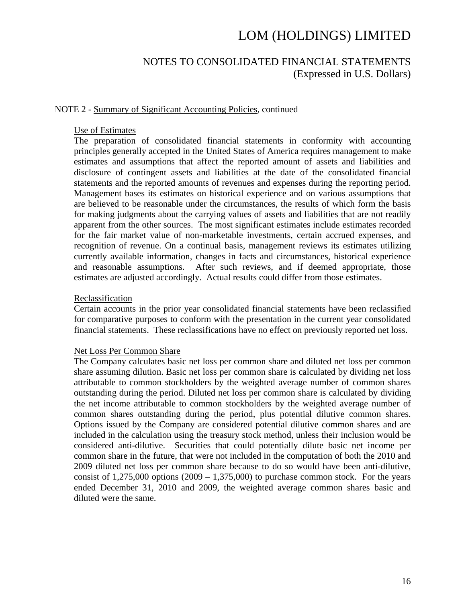# NOTES TO CONSOLIDATED FINANCIAL STATEMENTS (Expressed in U.S. Dollars)

## NOTE 2 - Summary of Significant Accounting Policies, continued

#### Use of Estimates

The preparation of consolidated financial statements in conformity with accounting principles generally accepted in the United States of America requires management to make estimates and assumptions that affect the reported amount of assets and liabilities and disclosure of contingent assets and liabilities at the date of the consolidated financial statements and the reported amounts of revenues and expenses during the reporting period. Management bases its estimates on historical experience and on various assumptions that are believed to be reasonable under the circumstances, the results of which form the basis for making judgments about the carrying values of assets and liabilities that are not readily apparent from the other sources. The most significant estimates include estimates recorded for the fair market value of non-marketable investments, certain accrued expenses, and recognition of revenue. On a continual basis, management reviews its estimates utilizing currently available information, changes in facts and circumstances, historical experience and reasonable assumptions. After such reviews, and if deemed appropriate, those estimates are adjusted accordingly. Actual results could differ from those estimates.

#### Reclassification

Certain accounts in the prior year consolidated financial statements have been reclassified for comparative purposes to conform with the presentation in the current year consolidated financial statements. These reclassifications have no effect on previously reported net loss.

#### Net Loss Per Common Share

The Company calculates basic net loss per common share and diluted net loss per common share assuming dilution. Basic net loss per common share is calculated by dividing net loss attributable to common stockholders by the weighted average number of common shares outstanding during the period. Diluted net loss per common share is calculated by dividing the net income attributable to common stockholders by the weighted average number of common shares outstanding during the period, plus potential dilutive common shares. Options issued by the Company are considered potential dilutive common shares and are included in the calculation using the treasury stock method, unless their inclusion would be considered anti-dilutive. Securities that could potentially dilute basic net income per common share in the future, that were not included in the computation of both the 2010 and 2009 diluted net loss per common share because to do so would have been anti-dilutive, consist of  $1,275,000$  options  $(2009 - 1,375,000)$  to purchase common stock. For the years ended December 31, 2010 and 2009, the weighted average common shares basic and diluted were the same.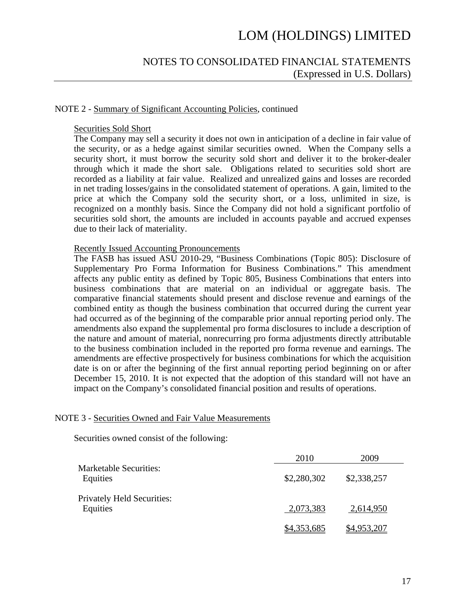# NOTES TO CONSOLIDATED FINANCIAL STATEMENTS (Expressed in U.S. Dollars)

#### NOTE 2 - Summary of Significant Accounting Policies, continued

#### Securities Sold Short

The Company may sell a security it does not own in anticipation of a decline in fair value of the security, or as a hedge against similar securities owned. When the Company sells a security short, it must borrow the security sold short and deliver it to the broker-dealer through which it made the short sale. Obligations related to securities sold short are recorded as a liability at fair value. Realized and unrealized gains and losses are recorded in net trading losses/gains in the consolidated statement of operations. A gain, limited to the price at which the Company sold the security short, or a loss, unlimited in size, is recognized on a monthly basis. Since the Company did not hold a significant portfolio of securities sold short, the amounts are included in accounts payable and accrued expenses due to their lack of materiality.

#### Recently Issued Accounting Pronouncements

The FASB has issued ASU 2010-29, "Business Combinations (Topic 805): Disclosure of Supplementary Pro Forma Information for Business Combinations." This amendment affects any public entity as defined by Topic 805, Business Combinations that enters into business combinations that are material on an individual or aggregate basis. The comparative financial statements should present and disclose revenue and earnings of the combined entity as though the business combination that occurred during the current year had occurred as of the beginning of the comparable prior annual reporting period only. The amendments also expand the supplemental pro forma disclosures to include a description of the nature and amount of material, nonrecurring pro forma adjustments directly attributable to the business combination included in the reported pro forma revenue and earnings. The amendments are effective prospectively for business combinations for which the acquisition date is on or after the beginning of the first annual reporting period beginning on or after December 15, 2010. It is not expected that the adoption of this standard will not have an impact on the Company's consolidated financial position and results of operations.

#### NOTE 3 - Securities Owned and Fair Value Measurements

Securities owned consist of the following:

|                                               | 2010        | 2009        |
|-----------------------------------------------|-------------|-------------|
| <b>Marketable Securities:</b><br>Equities     | \$2,280,302 | \$2,338,257 |
| <b>Privately Held Securities:</b><br>Equities | 2,073,383   | 2,614,950   |
|                                               | \$4,353,685 | \$4,953,207 |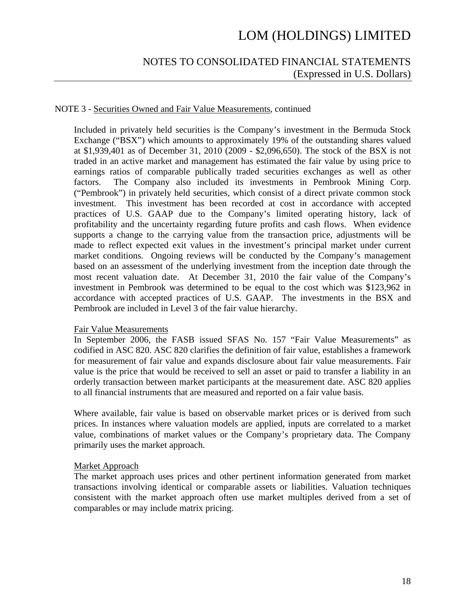# NOTES TO CONSOLIDATED FINANCIAL STATEMENTS (Expressed in U.S. Dollars)

### NOTE 3 - Securities Owned and Fair Value Measurements, continued

Included in privately held securities is the Company's investment in the Bermuda Stock Exchange ("BSX") which amounts to approximately 19% of the outstanding shares valued at \$1,939,401 as of December 31, 2010 (2009 - \$2,096,650). The stock of the BSX is not traded in an active market and management has estimated the fair value by using price to earnings ratios of comparable publically traded securities exchanges as well as other factors. The Company also included its investments in Pembrook Mining Corp. ("Pembrook") in privately held securities, which consist of a direct private common stock investment. This investment has been recorded at cost in accordance with accepted practices of U.S. GAAP due to the Company's limited operating history, lack of profitability and the uncertainty regarding future profits and cash flows. When evidence supports a change to the carrying value from the transaction price, adjustments will be made to reflect expected exit values in the investment's principal market under current market conditions. Ongoing reviews will be conducted by the Company's management based on an assessment of the underlying investment from the inception date through the most recent valuation date. At December 31, 2010 the fair value of the Company's investment in Pembrook was determined to be equal to the cost which was \$123,962 in accordance with accepted practices of U.S. GAAP. The investments in the BSX and Pembrook are included in Level 3 of the fair value hierarchy.

#### Fair Value Measurements

In September 2006, the FASB issued SFAS No. 157 "Fair Value Measurements" as codified in ASC 820. ASC 820 clarifies the definition of fair value, establishes a framework for measurement of fair value and expands disclosure about fair value measurements. Fair value is the price that would be received to sell an asset or paid to transfer a liability in an orderly transaction between market participants at the measurement date. ASC 820 applies to all financial instruments that are measured and reported on a fair value basis.

Where available, fair value is based on observable market prices or is derived from such prices. In instances where valuation models are applied, inputs are correlated to a market value, combinations of market values or the Company's proprietary data. The Company primarily uses the market approach.

## Market Approach

The market approach uses prices and other pertinent information generated from market transactions involving identical or comparable assets or liabilities. Valuation techniques consistent with the market approach often use market multiples derived from a set of comparables or may include matrix pricing.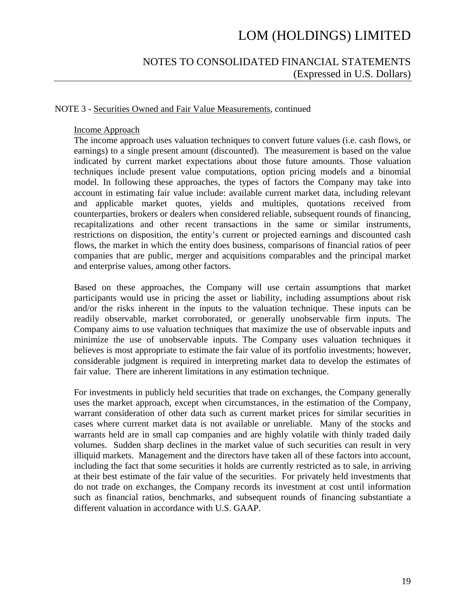# NOTES TO CONSOLIDATED FINANCIAL STATEMENTS (Expressed in U.S. Dollars)

## NOTE 3 - Securities Owned and Fair Value Measurements, continued

### Income Approach

The income approach uses valuation techniques to convert future values (i.e. cash flows, or earnings) to a single present amount (discounted). The measurement is based on the value indicated by current market expectations about those future amounts. Those valuation techniques include present value computations, option pricing models and a binomial model. In following these approaches, the types of factors the Company may take into account in estimating fair value include: available current market data, including relevant and applicable market quotes, yields and multiples, quotations received from counterparties, brokers or dealers when considered reliable, subsequent rounds of financing, recapitalizations and other recent transactions in the same or similar instruments, restrictions on disposition, the entity's current or projected earnings and discounted cash flows, the market in which the entity does business, comparisons of financial ratios of peer companies that are public, merger and acquisitions comparables and the principal market and enterprise values, among other factors.

Based on these approaches, the Company will use certain assumptions that market participants would use in pricing the asset or liability, including assumptions about risk and/or the risks inherent in the inputs to the valuation technique. These inputs can be readily observable, market corroborated, or generally unobservable firm inputs. The Company aims to use valuation techniques that maximize the use of observable inputs and minimize the use of unobservable inputs. The Company uses valuation techniques it believes is most appropriate to estimate the fair value of its portfolio investments; however, considerable judgment is required in interpreting market data to develop the estimates of fair value. There are inherent limitations in any estimation technique.

For investments in publicly held securities that trade on exchanges, the Company generally uses the market approach, except when circumstances, in the estimation of the Company, warrant consideration of other data such as current market prices for similar securities in cases where current market data is not available or unreliable. Many of the stocks and warrants held are in small cap companies and are highly volatile with thinly traded daily volumes. Sudden sharp declines in the market value of such securities can result in very illiquid markets. Management and the directors have taken all of these factors into account, including the fact that some securities it holds are currently restricted as to sale, in arriving at their best estimate of the fair value of the securities. For privately held investments that do not trade on exchanges, the Company records its investment at cost until information such as financial ratios, benchmarks, and subsequent rounds of financing substantiate a different valuation in accordance with U.S. GAAP.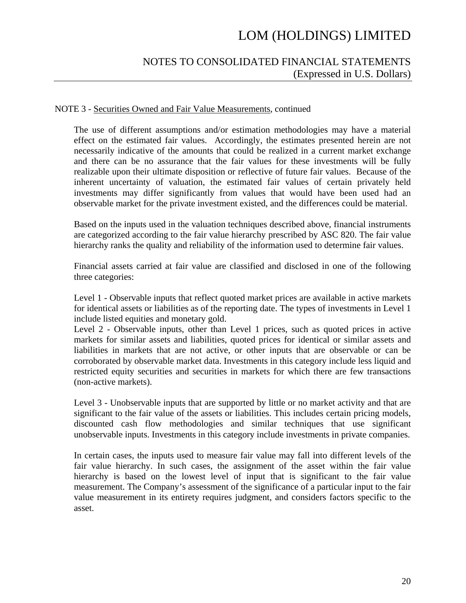# NOTES TO CONSOLIDATED FINANCIAL STATEMENTS (Expressed in U.S. Dollars)

## NOTE 3 - Securities Owned and Fair Value Measurements, continued

The use of different assumptions and/or estimation methodologies may have a material effect on the estimated fair values. Accordingly, the estimates presented herein are not necessarily indicative of the amounts that could be realized in a current market exchange and there can be no assurance that the fair values for these investments will be fully realizable upon their ultimate disposition or reflective of future fair values. Because of the inherent uncertainty of valuation, the estimated fair values of certain privately held investments may differ significantly from values that would have been used had an observable market for the private investment existed, and the differences could be material.

Based on the inputs used in the valuation techniques described above, financial instruments are categorized according to the fair value hierarchy prescribed by ASC 820. The fair value hierarchy ranks the quality and reliability of the information used to determine fair values.

Financial assets carried at fair value are classified and disclosed in one of the following three categories:

Level 1 - Observable inputs that reflect quoted market prices are available in active markets for identical assets or liabilities as of the reporting date. The types of investments in Level 1 include listed equities and monetary gold.

Level 2 - Observable inputs, other than Level 1 prices, such as quoted prices in active markets for similar assets and liabilities, quoted prices for identical or similar assets and liabilities in markets that are not active, or other inputs that are observable or can be corroborated by observable market data. Investments in this category include less liquid and restricted equity securities and securities in markets for which there are few transactions (non-active markets).

Level 3 - Unobservable inputs that are supported by little or no market activity and that are significant to the fair value of the assets or liabilities. This includes certain pricing models, discounted cash flow methodologies and similar techniques that use significant unobservable inputs. Investments in this category include investments in private companies.

In certain cases, the inputs used to measure fair value may fall into different levels of the fair value hierarchy. In such cases, the assignment of the asset within the fair value hierarchy is based on the lowest level of input that is significant to the fair value measurement. The Company's assessment of the significance of a particular input to the fair value measurement in its entirety requires judgment, and considers factors specific to the asset.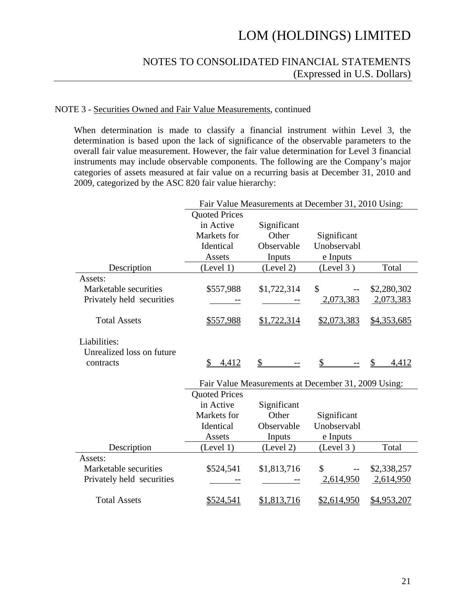# NOTES TO CONSOLIDATED FINANCIAL STATEMENTS (Expressed in U.S. Dollars)

## NOTE 3 - Securities Owned and Fair Value Measurements, continued

When determination is made to classify a financial instrument within Level 3, the determination is based upon the lack of significance of the observable parameters to the overall fair value measurement. However, the fair value determination for Level 3 financial instruments may include observable components. The following are the Company's major categories of assets measured at fair value on a recurring basis at December 31, 2010 and 2009, categorized by the ASC 820 fair value hierarchy:

|                           |                      |                | Fair Value Measurements at December 31, 2010 Using: |             |
|---------------------------|----------------------|----------------|-----------------------------------------------------|-------------|
|                           | <b>Quoted Prices</b> |                |                                                     |             |
|                           | in Active            | Significant    |                                                     |             |
|                           | Markets for          | Other          | Significant                                         |             |
|                           | Identical            | Observable     | Unobservabl                                         |             |
|                           | Assets               | Inputs         | e Inputs                                            |             |
| Description               | (Level 1)            | (Level 2)      | (Level 3)                                           | Total       |
| Assets:                   |                      |                |                                                     |             |
| Marketable securities     | \$557,988            | \$1,722,314    | \$<br>$\mathord{\hspace{1pt}\text{--}\hspace{1pt}}$ | \$2,280,302 |
| Privately held securities |                      |                | 2,073,383                                           | 2,073,383   |
|                           |                      |                |                                                     |             |
| <b>Total Assets</b>       | \$557,988            | \$1,722,314    | \$2,073,383                                         | \$4,353,685 |
|                           |                      |                |                                                     |             |
| Liabilities:              |                      |                |                                                     |             |
| Unrealized loss on future |                      |                |                                                     |             |
| contracts                 | \$<br>4,412          | $\mathbb{S}^-$ | \$                                                  | 4,412       |
|                           |                      |                |                                                     |             |
|                           |                      |                | Fair Value Measurements at December 31, 2009 Using: |             |
|                           | <b>Quoted Prices</b> |                |                                                     |             |
|                           | in Active            | Significant    |                                                     |             |
|                           | Markets for          | Other          | Significant                                         |             |
|                           | Identical            | Observable     | Unobservabl                                         |             |
|                           | Assets               | Inputs         | e Inputs                                            |             |
| Description               | (Level 1)            | (Level 2)      | (Level 3)                                           | Total       |
| Assets:                   |                      |                |                                                     |             |
| Marketable securities     | \$524,541            | \$1,813,716    | \$<br>$-$                                           | \$2,338,257 |
| Privately held securities |                      |                | 2,614,950                                           | 2,614,950   |
|                           |                      |                |                                                     |             |
| <b>Total Assets</b>       | \$524,541            | \$1,813,716    | \$2,614,950                                         | \$4,953,207 |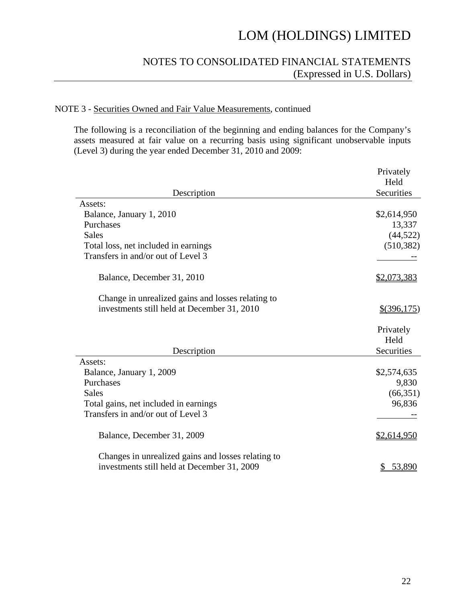# NOTES TO CONSOLIDATED FINANCIAL STATEMENTS (Expressed in U.S. Dollars)

## NOTE 3 - Securities Owned and Fair Value Measurements, continued

The following is a reconciliation of the beginning and ending balances for the Company's assets measured at fair value on a recurring basis using significant unobservable inputs (Level 3) during the year ended December 31, 2010 and 2009:

|                                                    | Privately          |
|----------------------------------------------------|--------------------|
|                                                    | Held               |
| Description                                        | Securities         |
| Assets:                                            |                    |
| Balance, January 1, 2010                           | \$2,614,950        |
| Purchases                                          | 13,337             |
| <b>Sales</b>                                       | (44, 522)          |
| Total loss, net included in earnings               | (510, 382)         |
| Transfers in and/or out of Level 3                 |                    |
| Balance, December 31, 2010                         | \$2,073,383        |
| Change in unrealized gains and losses relating to  |                    |
| investments still held at December 31, 2010        | $$$ (396,175)      |
|                                                    |                    |
|                                                    | Privately          |
|                                                    | Held               |
| Description                                        | Securities         |
| Assets:                                            |                    |
| Balance, January 1, 2009                           | \$2,574,635        |
| Purchases                                          | 9,830              |
| <b>Sales</b>                                       | (66, 351)          |
| Total gains, net included in earnings              | 96,836             |
| Transfers in and/or out of Level 3                 |                    |
| Balance, December 31, 2009                         | <u>\$2,614,950</u> |
| Changes in unrealized gains and losses relating to |                    |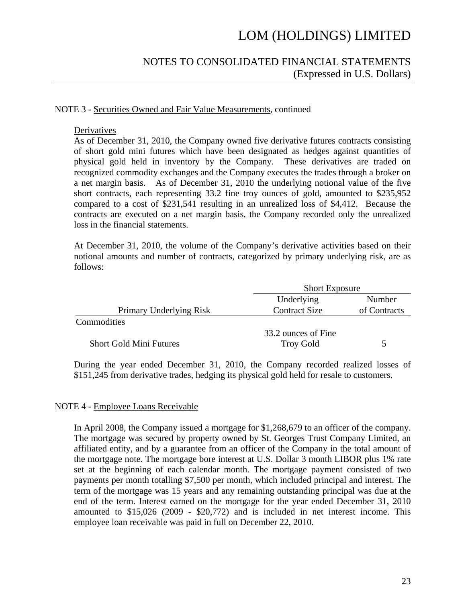# NOTES TO CONSOLIDATED FINANCIAL STATEMENTS (Expressed in U.S. Dollars)

## NOTE 3 - Securities Owned and Fair Value Measurements, continued

#### **Derivatives**

As of December 31, 2010, the Company owned five derivative futures contracts consisting of short gold mini futures which have been designated as hedges against quantities of physical gold held in inventory by the Company. These derivatives are traded on recognized commodity exchanges and the Company executes the trades through a broker on a net margin basis. As of December 31, 2010 the underlying notional value of the five short contracts, each representing 33.2 fine troy ounces of gold, amounted to \$235,952 compared to a cost of \$231,541 resulting in an unrealized loss of \$4,412. Because the contracts are executed on a net margin basis, the Company recorded only the unrealized loss in the financial statements.

At December 31, 2010, the volume of the Company's derivative activities based on their notional amounts and number of contracts, categorized by primary underlying risk, are as follows:

|                                | <b>Short Exposure</b> |              |  |
|--------------------------------|-----------------------|--------------|--|
|                                | Underlying            | Number       |  |
| Primary Underlying Risk        | <b>Contract Size</b>  | of Contracts |  |
| Commodities                    |                       |              |  |
|                                | 33.2 ounces of Fine   |              |  |
| <b>Short Gold Mini Futures</b> | <b>Troy Gold</b>      | 5            |  |

During the year ended December 31, 2010, the Company recorded realized losses of \$151,245 from derivative trades, hedging its physical gold held for resale to customers.

## NOTE 4 - Employee Loans Receivable

In April 2008, the Company issued a mortgage for \$1,268,679 to an officer of the company. The mortgage was secured by property owned by St. Georges Trust Company Limited, an affiliated entity, and by a guarantee from an officer of the Company in the total amount of the mortgage note. The mortgage bore interest at U.S. Dollar 3 month LIBOR plus 1% rate set at the beginning of each calendar month. The mortgage payment consisted of two payments per month totalling \$7,500 per month, which included principal and interest. The term of the mortgage was 15 years and any remaining outstanding principal was due at the end of the term. Interest earned on the mortgage for the year ended December 31, 2010 amounted to \$15,026 (2009 - \$20,772) and is included in net interest income. This employee loan receivable was paid in full on December 22, 2010.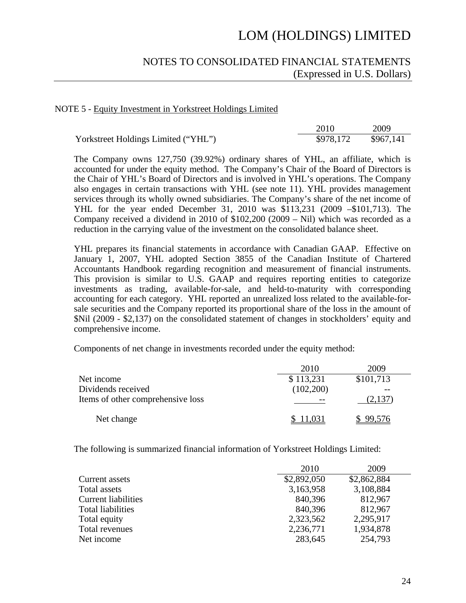# NOTES TO CONSOLIDATED FINANCIAL STATEMENTS (Expressed in U.S. Dollars)

#### NOTE 5 - Equity Investment in Yorkstreet Holdings Limited

|                                     | 2010      | 2009      |
|-------------------------------------|-----------|-----------|
| Yorkstreet Holdings Limited ("YHL") | \$978,172 | \$967,141 |

The Company owns 127,750 (39.92%) ordinary shares of YHL, an affiliate, which is accounted for under the equity method. The Company's Chair of the Board of Directors is the Chair of YHL's Board of Directors and is involved in YHL's operations. The Company also engages in certain transactions with YHL (see note 11). YHL provides management services through its wholly owned subsidiaries. The Company's share of the net income of YHL for the year ended December 31, 2010 was \$113,231 (2009 –\$101,713). The Company received a dividend in 2010 of \$102,200 (2009 – Nil) which was recorded as a reduction in the carrying value of the investment on the consolidated balance sheet.

YHL prepares its financial statements in accordance with Canadian GAAP. Effective on January 1, 2007, YHL adopted Section 3855 of the Canadian Institute of Chartered Accountants Handbook regarding recognition and measurement of financial instruments. This provision is similar to U.S. GAAP and requires reporting entities to categorize investments as trading, available-for-sale, and held-to-maturity with corresponding accounting for each category. YHL reported an unrealized loss related to the available-forsale securities and the Company reported its proportional share of the loss in the amount of \$Nil (2009 - \$2,137) on the consolidated statement of changes in stockholders' equity and comprehensive income.

Components of net change in investments recorded under the equity method:

|                                   | 2010      | 2009      |
|-----------------------------------|-----------|-----------|
| Net income                        | \$113,231 | \$101,713 |
| Dividends received                | (102,200) |           |
| Items of other comprehensive loss |           | (2,137)   |
| Net change                        | 1,031     | 99.576    |

The following is summarized financial information of Yorkstreet Holdings Limited:

|                            | 2010        | 2009        |
|----------------------------|-------------|-------------|
| Current assets             | \$2,892,050 | \$2,862,884 |
| Total assets               | 3,163,958   | 3,108,884   |
| <b>Current liabilities</b> | 840,396     | 812,967     |
| <b>Total liabilities</b>   | 840,396     | 812,967     |
| Total equity               | 2,323,562   | 2,295,917   |
| Total revenues             | 2,236,771   | 1,934,878   |
| Net income                 | 283,645     | 254,793     |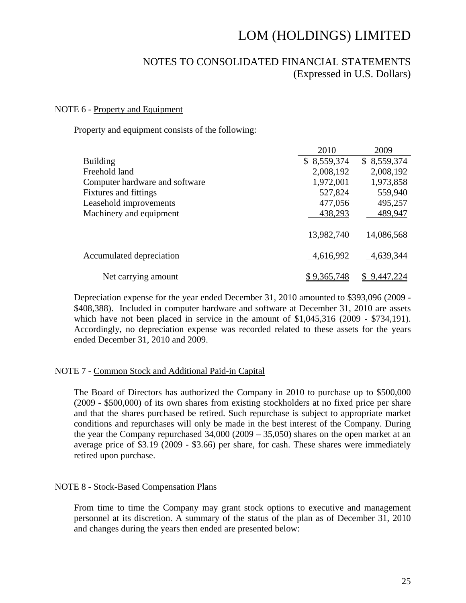# NOTES TO CONSOLIDATED FINANCIAL STATEMENTS (Expressed in U.S. Dollars)

### NOTE 6 - Property and Equipment

Property and equipment consists of the following:

|                                | 2010        | 2009        |
|--------------------------------|-------------|-------------|
| <b>Building</b>                | \$8,559,374 | \$8,559,374 |
| Freehold land                  | 2,008,192   | 2,008,192   |
| Computer hardware and software | 1,972,001   | 1,973,858   |
| Fixtures and fittings          | 527,824     | 559,940     |
| Leasehold improvements         | 477,056     | 495,257     |
| Machinery and equipment        | 438,293     | 489,947     |
|                                | 13,982,740  | 14,086,568  |
| Accumulated depreciation       | 4,616,992   | 4,639,344   |
| Net carrying amount            | \$9,365,748 | 9,447,224   |

Depreciation expense for the year ended December 31, 2010 amounted to \$393,096 (2009 - \$408,388). Included in computer hardware and software at December 31, 2010 are assets which have not been placed in service in the amount of \$1,045,316 (2009 - \$734,191). Accordingly, no depreciation expense was recorded related to these assets for the years ended December 31, 2010 and 2009.

## NOTE 7 - Common Stock and Additional Paid-in Capital

The Board of Directors has authorized the Company in 2010 to purchase up to \$500,000 (2009 - \$500,000) of its own shares from existing stockholders at no fixed price per share and that the shares purchased be retired. Such repurchase is subject to appropriate market conditions and repurchases will only be made in the best interest of the Company. During the year the Company repurchased 34,000 (2009 – 35,050) shares on the open market at an average price of \$3.19 (2009 - \$3.66) per share, for cash. These shares were immediately retired upon purchase.

#### NOTE 8 - Stock-Based Compensation Plans

From time to time the Company may grant stock options to executive and management personnel at its discretion. A summary of the status of the plan as of December 31, 2010 and changes during the years then ended are presented below: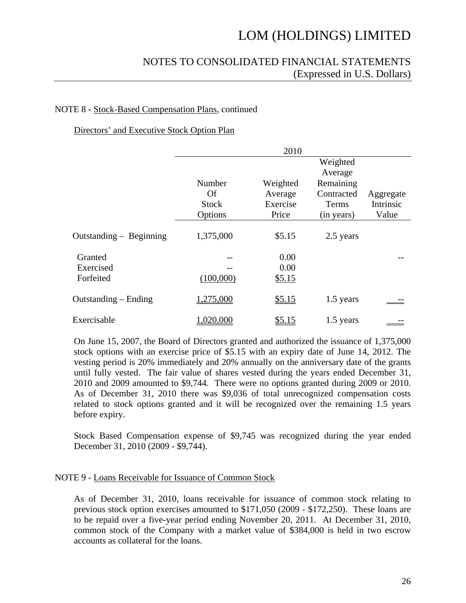# NOTES TO CONSOLIDATED FINANCIAL STATEMENTS (Expressed in U.S. Dollars)

## NOTE 8 - Stock-Based Compensation Plans, continued

## Directors' and Executive Stock Option Plan

|                         |              | 2010     |            |           |
|-------------------------|--------------|----------|------------|-----------|
|                         |              |          | Weighted   |           |
|                         |              |          | Average    |           |
|                         | Number       | Weighted | Remaining  |           |
|                         | <b>Of</b>    | Average  | Contracted | Aggregate |
|                         | <b>Stock</b> | Exercise | Terms      | Intrinsic |
|                         | Options      | Price    | (in years) | Value     |
| Outstanding – Beginning | 1,375,000    | \$5.15   | 2.5 years  |           |
| Granted                 |              | 0.00     |            |           |
| Exercised               |              | 0.00     |            |           |
| Forfeited               | (100,000)    | \$5.15   |            |           |
| Outstanding $-$ Ending  | 1,275,000    | \$5.15   | 1.5 years  |           |
| Exercisable             | .020.000     | \$5.15   | 1.5 years  |           |

On June 15, 2007, the Board of Directors granted and authorized the issuance of 1,375,000 stock options with an exercise price of \$5.15 with an expiry date of June 14, 2012. The vesting period is 20% immediately and 20% annually on the anniversary date of the grants until fully vested. The fair value of shares vested during the years ended December 31, 2010 and 2009 amounted to \$9,744. There were no options granted during 2009 or 2010. As of December 31, 2010 there was \$9,036 of total unrecognized compensation costs related to stock options granted and it will be recognized over the remaining 1.5 years before expiry.

Stock Based Compensation expense of \$9,745 was recognized during the year ended December 31, 2010 (2009 - \$9,744).

## NOTE 9 - Loans Receivable for Issuance of Common Stock

As of December 31, 2010, loans receivable for issuance of common stock relating to previous stock option exercises amounted to \$171,050 (2009 - \$172,250). These loans are to be repaid over a five-year period ending November 20, 2011. At December 31, 2010, common stock of the Company with a market value of \$384,000 is held in two escrow accounts as collateral for the loans.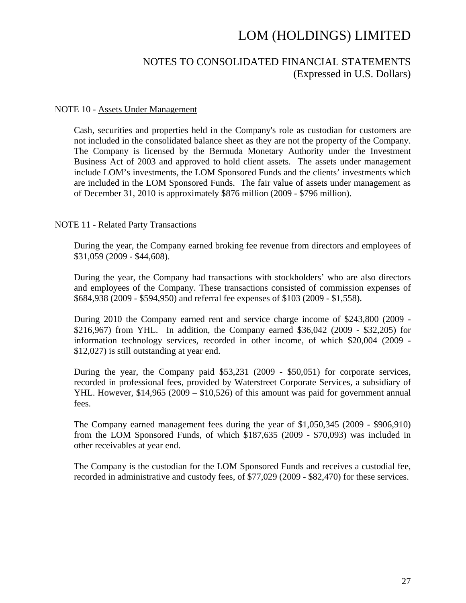# NOTES TO CONSOLIDATED FINANCIAL STATEMENTS (Expressed in U.S. Dollars)

## NOTE 10 - Assets Under Management

Cash, securities and properties held in the Company's role as custodian for customers are not included in the consolidated balance sheet as they are not the property of the Company. The Company is licensed by the Bermuda Monetary Authority under the Investment Business Act of 2003 and approved to hold client assets. The assets under management include LOM's investments, the LOM Sponsored Funds and the clients' investments which are included in the LOM Sponsored Funds. The fair value of assets under management as of December 31, 2010 is approximately \$876 million (2009 - \$796 million).

### NOTE 11 - Related Party Transactions

During the year, the Company earned broking fee revenue from directors and employees of \$31,059 (2009 - \$44,608).

During the year, the Company had transactions with stockholders' who are also directors and employees of the Company. These transactions consisted of commission expenses of \$684,938 (2009 - \$594,950) and referral fee expenses of \$103 (2009 - \$1,558).

During 2010 the Company earned rent and service charge income of \$243,800 (2009 - \$216,967) from YHL. In addition, the Company earned \$36,042 (2009 - \$32,205) for information technology services, recorded in other income, of which \$20,004 (2009 - \$12,027) is still outstanding at year end.

During the year, the Company paid \$53,231 (2009 - \$50,051) for corporate services, recorded in professional fees, provided by Waterstreet Corporate Services, a subsidiary of YHL. However, \$14,965 (2009 – \$10,526) of this amount was paid for government annual fees.

The Company earned management fees during the year of \$1,050,345 (2009 - \$906,910) from the LOM Sponsored Funds, of which \$187,635 (2009 - \$70,093) was included in other receivables at year end.

The Company is the custodian for the LOM Sponsored Funds and receives a custodial fee, recorded in administrative and custody fees, of \$77,029 (2009 - \$82,470) for these services.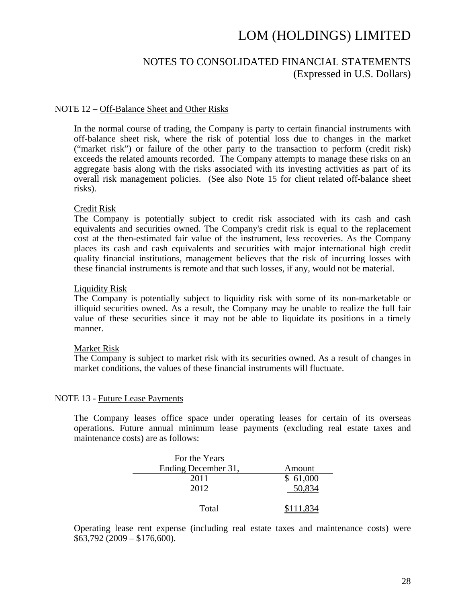# NOTES TO CONSOLIDATED FINANCIAL STATEMENTS (Expressed in U.S. Dollars)

### NOTE 12 – Off-Balance Sheet and Other Risks

In the normal course of trading, the Company is party to certain financial instruments with off-balance sheet risk, where the risk of potential loss due to changes in the market ("market risk") or failure of the other party to the transaction to perform (credit risk) exceeds the related amounts recorded. The Company attempts to manage these risks on an aggregate basis along with the risks associated with its investing activities as part of its overall risk management policies. (See also Note 15 for client related off-balance sheet risks).

#### Credit Risk

The Company is potentially subject to credit risk associated with its cash and cash equivalents and securities owned. The Company's credit risk is equal to the replacement cost at the then-estimated fair value of the instrument, less recoveries. As the Company places its cash and cash equivalents and securities with major international high credit quality financial institutions, management believes that the risk of incurring losses with these financial instruments is remote and that such losses, if any, would not be material.

### Liquidity Risk

The Company is potentially subject to liquidity risk with some of its non-marketable or illiquid securities owned. As a result, the Company may be unable to realize the full fair value of these securities since it may not be able to liquidate its positions in a timely manner.

#### Market Risk

The Company is subject to market risk with its securities owned. As a result of changes in market conditions, the values of these financial instruments will fluctuate.

#### NOTE 13 - Future Lease Payments

The Company leases office space under operating leases for certain of its overseas operations. Future annual minimum lease payments (excluding real estate taxes and maintenance costs) are as follows:

| For the Years<br>Ending December 31, | Amount             |
|--------------------------------------|--------------------|
| 2011<br>2012                         | \$61,000<br>50,834 |
| Total                                | \$111.834          |

Operating lease rent expense (including real estate taxes and maintenance costs) were  $$63,792(2009 - $176,600).$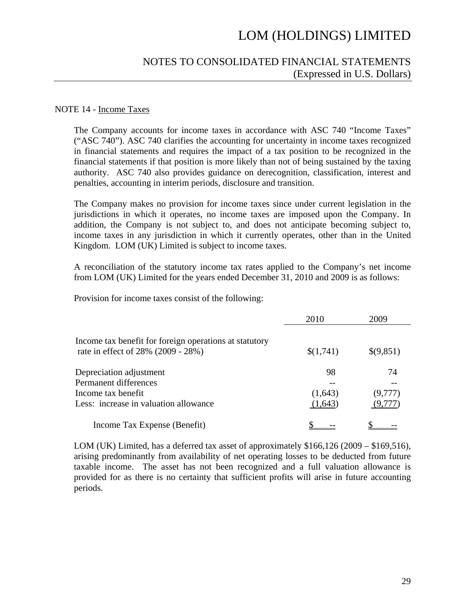# NOTES TO CONSOLIDATED FINANCIAL STATEMENTS (Expressed in U.S. Dollars)

#### NOTE 14 - Income Taxes

The Company accounts for income taxes in accordance with ASC 740 "Income Taxes" ("ASC 740"). ASC 740 clarifies the accounting for uncertainty in income taxes recognized in financial statements and requires the impact of a tax position to be recognized in the financial statements if that position is more likely than not of being sustained by the taxing authority. ASC 740 also provides guidance on derecognition, classification, interest and penalties, accounting in interim periods, disclosure and transition.

The Company makes no provision for income taxes since under current legislation in the jurisdictions in which it operates, no income taxes are imposed upon the Company. In addition, the Company is not subject to, and does not anticipate becoming subject to, income taxes in any jurisdiction in which it currently operates, other than in the United Kingdom. LOM (UK) Limited is subject to income taxes.

A reconciliation of the statutory income tax rates applied to the Company's net income from LOM (UK) Limited for the years ended December 31, 2010 and 2009 is as follows:

Provision for income taxes consist of the following:

|                                                                                              | 2010      | 2009      |
|----------------------------------------------------------------------------------------------|-----------|-----------|
| Income tax benefit for foreign operations at statutory<br>rate in effect of 28% (2009 - 28%) | \$(1,741) | \$(9,851) |
| Depreciation adjustment                                                                      | 98        | 74        |
| Permanent differences                                                                        |           |           |
| Income tax benefit                                                                           | (1,643)   | (9,777)   |
| Less: increase in valuation allowance                                                        | (1,643)   |           |
| Income Tax Expense (Benefit)                                                                 |           |           |

LOM (UK) Limited, has a deferred tax asset of approximately \$166,126 (2009 – \$169,516), arising predominantly from availability of net operating losses to be deducted from future taxable income. The asset has not been recognized and a full valuation allowance is provided for as there is no certainty that sufficient profits will arise in future accounting periods.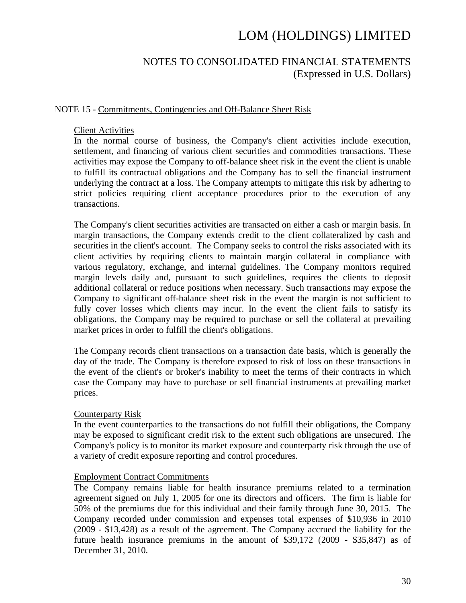# NOTES TO CONSOLIDATED FINANCIAL STATEMENTS (Expressed in U.S. Dollars)

## NOTE 15 - Commitments, Contingencies and Off-Balance Sheet Risk

## Client Activities

In the normal course of business, the Company's client activities include execution, settlement, and financing of various client securities and commodities transactions. These activities may expose the Company to off-balance sheet risk in the event the client is unable to fulfill its contractual obligations and the Company has to sell the financial instrument underlying the contract at a loss. The Company attempts to mitigate this risk by adhering to strict policies requiring client acceptance procedures prior to the execution of any transactions.

The Company's client securities activities are transacted on either a cash or margin basis. In margin transactions, the Company extends credit to the client collateralized by cash and securities in the client's account. The Company seeks to control the risks associated with its client activities by requiring clients to maintain margin collateral in compliance with various regulatory, exchange, and internal guidelines. The Company monitors required margin levels daily and, pursuant to such guidelines, requires the clients to deposit additional collateral or reduce positions when necessary. Such transactions may expose the Company to significant off-balance sheet risk in the event the margin is not sufficient to fully cover losses which clients may incur. In the event the client fails to satisfy its obligations, the Company may be required to purchase or sell the collateral at prevailing market prices in order to fulfill the client's obligations.

The Company records client transactions on a transaction date basis, which is generally the day of the trade. The Company is therefore exposed to risk of loss on these transactions in the event of the client's or broker's inability to meet the terms of their contracts in which case the Company may have to purchase or sell financial instruments at prevailing market prices.

## Counterparty Risk

In the event counterparties to the transactions do not fulfill their obligations, the Company may be exposed to significant credit risk to the extent such obligations are unsecured. The Company's policy is to monitor its market exposure and counterparty risk through the use of a variety of credit exposure reporting and control procedures.

## Employment Contract Commitments

The Company remains liable for health insurance premiums related to a termination agreement signed on July 1, 2005 for one its directors and officers. The firm is liable for 50% of the premiums due for this individual and their family through June 30, 2015. The Company recorded under commission and expenses total expenses of \$10,936 in 2010 (2009 - \$13,428) as a result of the agreement. The Company accrued the liability for the future health insurance premiums in the amount of \$39,172 (2009 - \$35,847) as of December 31, 2010.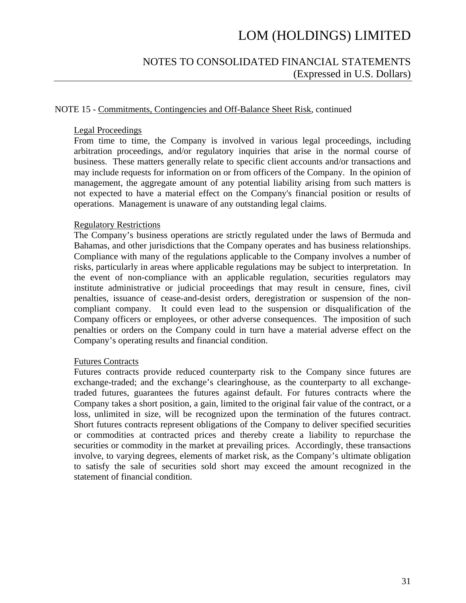# NOTES TO CONSOLIDATED FINANCIAL STATEMENTS (Expressed in U.S. Dollars)

## NOTE 15 - Commitments, Contingencies and Off-Balance Sheet Risk, continued

### Legal Proceedings

From time to time, the Company is involved in various legal proceedings, including arbitration proceedings, and/or regulatory inquiries that arise in the normal course of business. These matters generally relate to specific client accounts and/or transactions and may include requests for information on or from officers of the Company. In the opinion of management, the aggregate amount of any potential liability arising from such matters is not expected to have a material effect on the Company's financial position or results of operations. Management is unaware of any outstanding legal claims.

#### Regulatory Restrictions

The Company's business operations are strictly regulated under the laws of Bermuda and Bahamas, and other jurisdictions that the Company operates and has business relationships. Compliance with many of the regulations applicable to the Company involves a number of risks, particularly in areas where applicable regulations may be subject to interpretation. In the event of non-compliance with an applicable regulation, securities regulators may institute administrative or judicial proceedings that may result in censure, fines, civil penalties, issuance of cease-and-desist orders, deregistration or suspension of the noncompliant company. It could even lead to the suspension or disqualification of the Company officers or employees, or other adverse consequences. The imposition of such penalties or orders on the Company could in turn have a material adverse effect on the Company's operating results and financial condition.

## Futures Contracts

Futures contracts provide reduced counterparty risk to the Company since futures are exchange-traded; and the exchange's clearinghouse, as the counterparty to all exchangetraded futures, guarantees the futures against default. For futures contracts where the Company takes a short position, a gain, limited to the original fair value of the contract, or a loss, unlimited in size, will be recognized upon the termination of the futures contract. Short futures contracts represent obligations of the Company to deliver specified securities or commodities at contracted prices and thereby create a liability to repurchase the securities or commodity in the market at prevailing prices. Accordingly, these transactions involve, to varying degrees, elements of market risk, as the Company's ultimate obligation to satisfy the sale of securities sold short may exceed the amount recognized in the statement of financial condition.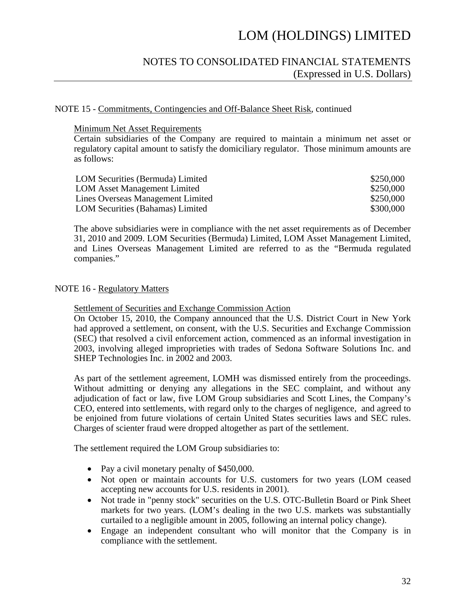# NOTES TO CONSOLIDATED FINANCIAL STATEMENTS (Expressed in U.S. Dollars)

## NOTE 15 - Commitments, Contingencies and Off-Balance Sheet Risk, continued

## Minimum Net Asset Requirements

Certain subsidiaries of the Company are required to maintain a minimum net asset or regulatory capital amount to satisfy the domiciliary regulator. Those minimum amounts are as follows:

| \$250,000 |
|-----------|
| \$250,000 |
| \$250,000 |
| \$300,000 |
|           |

The above subsidiaries were in compliance with the net asset requirements as of December 31, 2010 and 2009. LOM Securities (Bermuda) Limited, LOM Asset Management Limited, and Lines Overseas Management Limited are referred to as the "Bermuda regulated companies."

## NOTE 16 - Regulatory Matters

## Settlement of Securities and Exchange Commission Action

On October 15, 2010, the Company announced that the U.S. District Court in New York had approved a settlement, on consent, with the U.S. Securities and Exchange Commission (SEC) that resolved a civil enforcement action, commenced as an informal investigation in 2003, involving alleged improprieties with trades of Sedona Software Solutions Inc. and SHEP Technologies Inc. in 2002 and 2003.

As part of the settlement agreement, LOMH was dismissed entirely from the proceedings. Without admitting or denying any allegations in the SEC complaint, and without any adjudication of fact or law, five LOM Group subsidiaries and Scott Lines, the Company's CEO, entered into settlements, with regard only to the charges of negligence, and agreed to be enjoined from future violations of certain United States securities laws and SEC rules. Charges of scienter fraud were dropped altogether as part of the settlement.

The settlement required the LOM Group subsidiaries to:

- Pay a civil monetary penalty of \$450,000.
- Not open or maintain accounts for U.S. customers for two years (LOM ceased accepting new accounts for U.S. residents in 2001).
- Not trade in "penny stock" securities on the U.S. OTC-Bulletin Board or Pink Sheet markets for two years. (LOM's dealing in the two U.S. markets was substantially curtailed to a negligible amount in 2005, following an internal policy change).
- Engage an independent consultant who will monitor that the Company is in compliance with the settlement.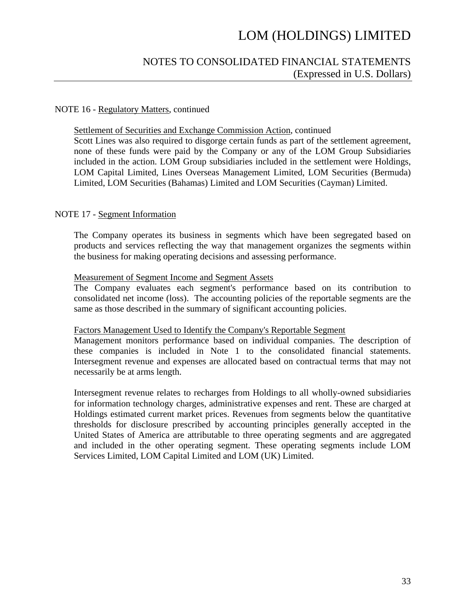# NOTES TO CONSOLIDATED FINANCIAL STATEMENTS (Expressed in U.S. Dollars)

## NOTE 16 - Regulatory Matters, continued

#### Settlement of Securities and Exchange Commission Action, continued

Scott Lines was also required to disgorge certain funds as part of the settlement agreement, none of these funds were paid by the Company or any of the LOM Group Subsidiaries included in the action. LOM Group subsidiaries included in the settlement were Holdings, LOM Capital Limited, Lines Overseas Management Limited, LOM Securities (Bermuda) Limited, LOM Securities (Bahamas) Limited and LOM Securities (Cayman) Limited.

#### NOTE 17 - Segment Information

The Company operates its business in segments which have been segregated based on products and services reflecting the way that management organizes the segments within the business for making operating decisions and assessing performance.

#### Measurement of Segment Income and Segment Assets

The Company evaluates each segment's performance based on its contribution to consolidated net income (loss). The accounting policies of the reportable segments are the same as those described in the summary of significant accounting policies.

### Factors Management Used to Identify the Company's Reportable Segment

Management monitors performance based on individual companies. The description of these companies is included in Note 1 to the consolidated financial statements. Intersegment revenue and expenses are allocated based on contractual terms that may not necessarily be at arms length.

Intersegment revenue relates to recharges from Holdings to all wholly-owned subsidiaries for information technology charges, administrative expenses and rent. These are charged at Holdings estimated current market prices. Revenues from segments below the quantitative thresholds for disclosure prescribed by accounting principles generally accepted in the United States of America are attributable to three operating segments and are aggregated and included in the other operating segment. These operating segments include LOM Services Limited, LOM Capital Limited and LOM (UK) Limited.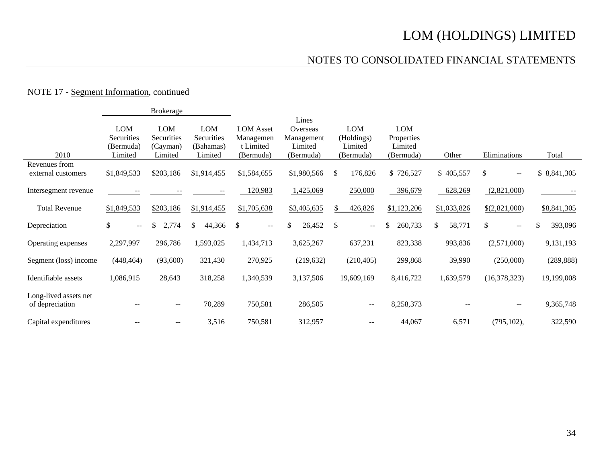# NOTES TO CONSOLIDATED FINANCIAL STATEMENTS

# NOTE 17 - Segment Information, continued

|                                          |                     | Brokerage   |                   |                                      |                         |                                       |               |              |                                |               |
|------------------------------------------|---------------------|-------------|-------------------|--------------------------------------|-------------------------|---------------------------------------|---------------|--------------|--------------------------------|---------------|
|                                          |                     |             |                   |                                      | Lines                   |                                       |               |              |                                |               |
|                                          | LOM                 | LOM         | LOM               | <b>LOM</b> Asset                     | Overseas                | <b>LOM</b>                            | LOM           |              |                                |               |
|                                          | Securities          | Securities  | Securities        | Managemen                            | Management              | (Holdings)                            | Properties    |              |                                |               |
|                                          | (Bermuda)           | (Cayman)    | (Bahamas)         | t Limited                            | Limited                 | Limited                               | Limited       |              |                                |               |
| 2010                                     | Limited             | Limited     | Limited           | (Bermuda)                            | (Bermuda)               | (Bermuda)                             | (Bermuda)     | Other        | Eliminations                   | Total         |
| Revenues from                            |                     |             |                   |                                      |                         |                                       |               |              |                                |               |
| external customers                       | \$1,849,533         | \$203,186   | \$1,914,455       | \$1,584,655                          | \$1,980,566             | 176,826<br><sup>\$</sup>              | \$726,527     | \$405,557    | \$<br>$\overline{\phantom{m}}$ | \$ 8,841,305  |
| Intersegment revenue                     |                     |             | $\qquad \qquad -$ | 120,983                              | 1,425,069               | 250,000                               | 396,679       | 628,269      | (2,821,000)                    |               |
| <b>Total Revenue</b>                     | \$1,849,533         | \$203,186   | \$1,914,455       | \$1,705,638                          | \$3,405,635             | 426,826                               | \$1,123,206   | \$1,033,826  | \$(2,821,000)                  | \$8,841,305   |
| Depreciation                             | \$<br>$\sim$ $\sim$ | 2,774<br>\$ | \$<br>44,366      | <b>S</b><br>$\overline{\phantom{a}}$ | $\mathcal{S}$<br>26,452 | $\mathbb{S}$<br>$\mathbf{u}$          | 260,733<br>S. | \$<br>58,771 | \$<br>$- -$                    | 393,096<br>\$ |
| Operating expenses                       | 2,297,997           | 296,786     | 1,593,025         | 1,434,713                            | 3,625,267               | 637,231                               | 823,338       | 993,836      | (2,571,000)                    | 9,131,193     |
| Segment (loss) income                    | (448, 464)          | (93,600)    | 321,430           | 270,925                              | (219, 632)              | (210, 405)                            | 299,868       | 39,990       | (250,000)                      | (289, 888)    |
| Identifiable assets                      | 1,086,915           | 28,643      | 318,258           | 1,340,539                            | 3,137,506               | 19,609,169                            | 8,416,722     | 1,639,579    | (16,378,323)                   | 19,199,008    |
| Long-lived assets net<br>of depreciation |                     | $--$        | 70,289            | 750,581                              | 286,505                 | $\hspace{0.05cm}$ – $\hspace{0.05cm}$ | 8,258,373     |              | $-$                            | 9,365,748     |
| Capital expenditures                     |                     | $- -$       | 3,516             | 750,581                              | 312,957                 | $\qquad \qquad -$                     | 44,067        | 6,571        | (795, 102),                    | 322,590       |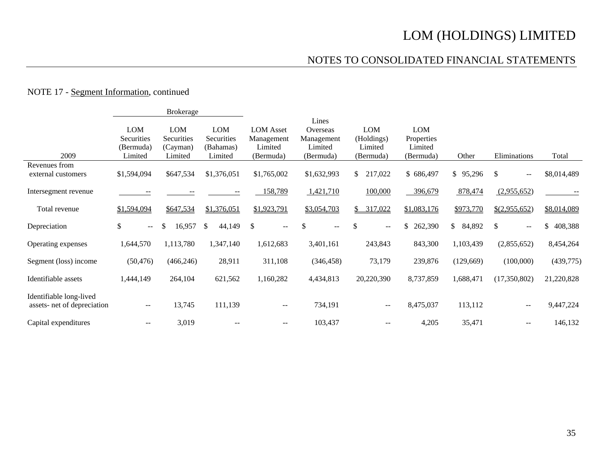# NOTES TO CONSOLIDATED FINANCIAL STATEMENTS

# NOTE 17 - Segment Information, continued

|                                                       |                                                  | <b>Brokerage</b>                                |                                           |                                                        |                                                           |                                                  |                                           |              |                                                     |               |
|-------------------------------------------------------|--------------------------------------------------|-------------------------------------------------|-------------------------------------------|--------------------------------------------------------|-----------------------------------------------------------|--------------------------------------------------|-------------------------------------------|--------------|-----------------------------------------------------|---------------|
| 2009                                                  | <b>LOM</b><br>Securities<br>(Bermuda)<br>Limited | <b>LOM</b><br>Securities<br>(Cayman)<br>Limited | LOM<br>Securities<br>(Bahamas)<br>Limited | <b>LOM</b> Asset<br>Management<br>Limited<br>(Bermuda) | Lines<br>Overseas<br>Management<br>Limited<br>(Bermuda)   | <b>LOM</b><br>(Holdings)<br>Limited<br>(Bermuda) | LOM<br>Properties<br>Limited<br>(Bermuda) | Other        | Eliminations                                        | Total         |
| Revenues from<br>external customers                   | \$1,594,094                                      | \$647,534                                       | \$1,376,051                               | \$1,765,002                                            | \$1,632,993                                               | 217,022<br>\$                                    | \$686,497                                 | \$95,296     | \$<br>$-$                                           | \$8,014,489   |
| Intersegment revenue                                  | $-\,-$                                           | --                                              | $--$                                      | 158,789                                                | 1,421,710                                                 | 100,000                                          | 396,679                                   | 878,474      | (2,955,652)                                         |               |
| Total revenue                                         | \$1,594,094                                      | \$647,534                                       | \$1,376,051                               | \$1,923,791                                            | \$3,054,703                                               | \$317,022                                        | \$1,083,176                               | \$973,770    | \$(2,955,652)                                       | \$8,014,089   |
| Depreciation                                          | \$<br>$--$                                       | 16,957<br>S.                                    | $\mathbb{S}$<br>44,149                    | $\mathbb{S}$<br>$- -$                                  | \$<br>$\hspace{0.05cm} -\hspace{0.05cm} -\hspace{0.05cm}$ | \$<br>$\overline{\phantom{m}}$                   | 262,390<br>\$                             | \$<br>84,892 | \$<br>$-$                                           | \$<br>408,388 |
| Operating expenses                                    | 1,644,570                                        | 1,113,780                                       | 1,347,140                                 | 1,612,683                                              | 3,401,161                                                 | 243,843                                          | 843,300                                   | 1,103,439    | (2,855,652)                                         | 8,454,264     |
| Segment (loss) income                                 | (50, 476)                                        | (466, 246)                                      | 28,911                                    | 311,108                                                | (346, 458)                                                | 73,179                                           | 239,876                                   | (129, 669)   | (100,000)                                           | (439,775)     |
| Identifiable assets                                   | 1,444,149                                        | 264,104                                         | 621,562                                   | 1,160,282                                              | 4,434,813                                                 | 20,220,390                                       | 8,737,859                                 | 1,688,471    | (17,350,802)                                        | 21,220,828    |
| Identifiable long-lived<br>assets-net of depreciation | $- -$                                            | 13,745                                          | 111,139                                   | $\overline{\phantom{a}}$                               | 734,191                                                   | $\overline{\phantom{m}}$                         | 8,475,037                                 | 113,112      | $\hspace{0.05cm} -\hspace{0.05cm} -\hspace{0.05cm}$ | 9,447,224     |
| Capital expenditures                                  | $\sim$ $\sim$                                    | 3,019                                           |                                           |                                                        | 103,437                                                   |                                                  | 4,205                                     | 35,471       | $\qquad \qquad -$                                   | 146,132       |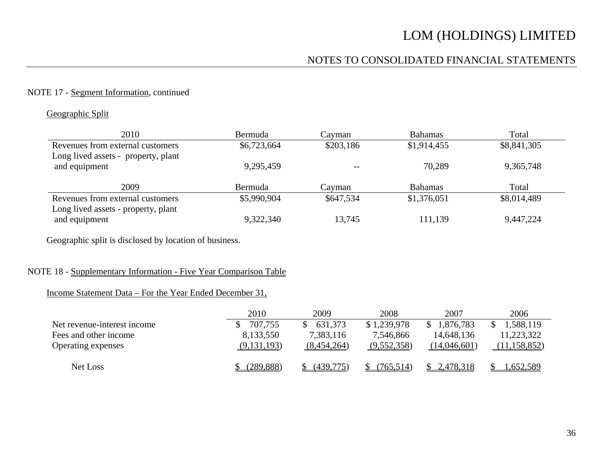# NOTES TO CONSOLIDATED FINANCIAL STATEMENTS

## NOTE 17 - Segment Information, continued

## Geographic Split

| 2010                                | <b>Bermuda</b> | Cayman    | <b>Bahamas</b> | Total       |  |
|-------------------------------------|----------------|-----------|----------------|-------------|--|
| Revenues from external customers    | \$6,723,664    | \$203,186 | \$1,914,455    | \$8,841,305 |  |
| Long lived assets - property, plant |                |           |                |             |  |
| and equipment                       | 9,295,459      | $- -$     | 70,289         | 9,365,748   |  |
|                                     |                |           |                |             |  |
|                                     |                |           |                |             |  |
| 2009                                | Bermuda        | Cayman    | <b>Bahamas</b> | Total       |  |
| Revenues from external customers    | \$5,990,904    | \$647,534 | \$1,376,051    | \$8,014,489 |  |
| Long lived assets - property, plant |                |           |                |             |  |

Geographic split is disclosed by location of business.

## NOTE 18 - Supplementary Information - Five Year Comparison Table

## Income Statement Data – For the Year Ended December 31,

|                             | 2010        | 2009        | 2008        | 2007         | 2006            |
|-----------------------------|-------------|-------------|-------------|--------------|-----------------|
| Net revenue-interest income | 707,755     | 631,373     | \$1,239,978 | 1,876,783    | .588,119        |
| Fees and other income       | 8,133,550   | 7,383,116   | 7,546,866   | 14,648,136   | 11,223,322      |
| Operating expenses          | (9,131,193) | (8,454,264) | (9,552,358) | (14,046,601) | (11, 158, 852)  |
| <b>Net Loss</b>             | (289, 888)  | (439,775)   | (765,514)   | 2,478,318    | <u>.652,589</u> |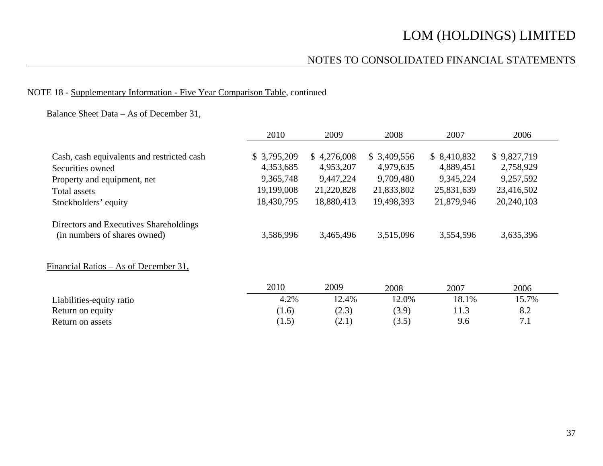# NOTES TO CONSOLIDATED FINANCIAL STATEMENTS

## NOTE 18 - Supplementary Information - Five Year Comparison Table, continued

## Balance Sheet Data – As of December 31,

|                                            | 2010        | 2009        | 2008        | 2007         | 2006        |
|--------------------------------------------|-------------|-------------|-------------|--------------|-------------|
|                                            |             |             |             |              |             |
| Cash, cash equivalents and restricted cash | \$3,795,209 | \$4,276,008 | \$3,409,556 | \$ 8,410,832 | \$9,827,719 |
| Securities owned                           | 4,353,685   | 4,953,207   | 4,979,635   | 4,889,451    | 2,758,929   |
| Property and equipment, net                | 9,365,748   | 9,447,224   | 9,709,480   | 9,345,224    | 9,257,592   |
| Total assets                               | 19,199,008  | 21,220,828  | 21,833,802  | 25,831,639   | 23,416,502  |
| Stockholders' equity                       | 18,430,795  | 18,880,413  | 19,498,393  | 21,879,946   | 20,240,103  |
| Directors and Executives Shareholdings     |             |             |             |              |             |
| (in numbers of shares owned)               | 3,586,996   | 3,465,496   | 3,515,096   | 3,554,596    | 3,635,396   |
|                                            |             |             |             |              |             |
| Financial Ratios – As of December 31,      |             |             |             |              |             |
|                                            | 2010        | 2009        | 2008        | 2007         | 2006        |
| Liabilities-equity ratio                   | 4.2%        | 12.4%       | 12.0%       | 18.1%        | 15.7%       |
| Return on equity                           | (1.6)       | (2.3)       | (3.9)       | 11.3         | 8.2         |
| Return on assets                           | (1.5)       | (2.1)       | (3.5)       | 9.6          | 7.1         |